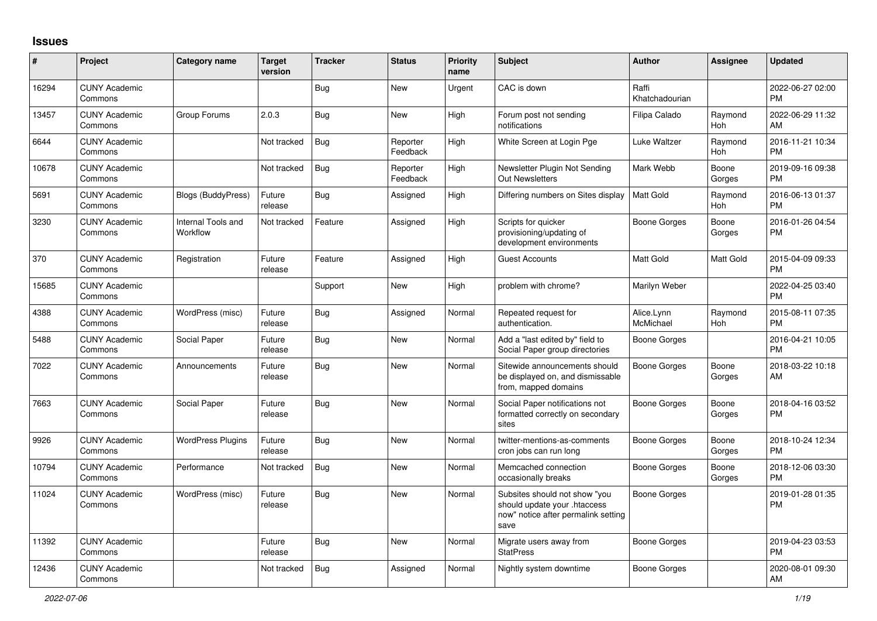## **Issues**

| #     | Project                         | Category name                  | <b>Target</b><br>version | <b>Tracker</b> | <b>Status</b>        | <b>Priority</b><br>name | <b>Subject</b>                                                                                               | <b>Author</b>           | Assignee        | <b>Updated</b>                |
|-------|---------------------------------|--------------------------------|--------------------------|----------------|----------------------|-------------------------|--------------------------------------------------------------------------------------------------------------|-------------------------|-----------------|-------------------------------|
| 16294 | <b>CUNY Academic</b><br>Commons |                                |                          | Bug            | New                  | Urgent                  | CAC is down                                                                                                  | Raffi<br>Khatchadourian |                 | 2022-06-27 02:00<br><b>PM</b> |
| 13457 | <b>CUNY Academic</b><br>Commons | Group Forums                   | 2.0.3                    | <b>Bug</b>     | New                  | High                    | Forum post not sending<br>notifications                                                                      | Filipa Calado           | Raymond<br>Hoh  | 2022-06-29 11:32<br>AM        |
| 6644  | <b>CUNY Academic</b><br>Commons |                                | Not tracked              | Bug            | Reporter<br>Feedback | High                    | White Screen at Login Pge                                                                                    | Luke Waltzer            | Raymond<br>Hoh  | 2016-11-21 10:34<br><b>PM</b> |
| 10678 | <b>CUNY Academic</b><br>Commons |                                | Not tracked              | Bug            | Reporter<br>Feedback | High                    | Newsletter Plugin Not Sending<br><b>Out Newsletters</b>                                                      | Mark Webb               | Boone<br>Gorges | 2019-09-16 09:38<br><b>PM</b> |
| 5691  | <b>CUNY Academic</b><br>Commons | Blogs (BuddyPress)             | Future<br>release        | <b>Bug</b>     | Assigned             | High                    | Differing numbers on Sites display                                                                           | <b>Matt Gold</b>        | Raymond<br>Hoh  | 2016-06-13 01:37<br><b>PM</b> |
| 3230  | <b>CUNY Academic</b><br>Commons | Internal Tools and<br>Workflow | Not tracked              | Feature        | Assigned             | High                    | Scripts for quicker<br>provisioning/updating of<br>development environments                                  | Boone Gorges            | Boone<br>Gorges | 2016-01-26 04:54<br><b>PM</b> |
| 370   | <b>CUNY Academic</b><br>Commons | Registration                   | Future<br>release        | Feature        | Assigned             | High                    | <b>Guest Accounts</b>                                                                                        | <b>Matt Gold</b>        | Matt Gold       | 2015-04-09 09:33<br><b>PM</b> |
| 15685 | <b>CUNY Academic</b><br>Commons |                                |                          | Support        | New                  | High                    | problem with chrome?                                                                                         | Marilyn Weber           |                 | 2022-04-25 03:40<br><b>PM</b> |
| 4388  | <b>CUNY Academic</b><br>Commons | WordPress (misc)               | Future<br>release        | Bug            | Assigned             | Normal                  | Repeated request for<br>authentication.                                                                      | Alice.Lynn<br>McMichael | Raymond<br>Hoh  | 2015-08-11 07:35<br><b>PM</b> |
| 5488  | <b>CUNY Academic</b><br>Commons | Social Paper                   | Future<br>release        | Bug            | <b>New</b>           | Normal                  | Add a "last edited by" field to<br>Social Paper group directories                                            | Boone Gorges            |                 | 2016-04-21 10:05<br><b>PM</b> |
| 7022  | <b>CUNY Academic</b><br>Commons | Announcements                  | Future<br>release        | <b>Bug</b>     | New                  | Normal                  | Sitewide announcements should<br>be displayed on, and dismissable<br>from, mapped domains                    | <b>Boone Gorges</b>     | Boone<br>Gorges | 2018-03-22 10:18<br>AM        |
| 7663  | <b>CUNY Academic</b><br>Commons | Social Paper                   | Future<br>release        | Bug            | <b>New</b>           | Normal                  | Social Paper notifications not<br>formatted correctly on secondary<br>sites                                  | Boone Gorges            | Boone<br>Gorges | 2018-04-16 03:52<br><b>PM</b> |
| 9926  | <b>CUNY Academic</b><br>Commons | <b>WordPress Plugins</b>       | Future<br>release        | <b>Bug</b>     | New                  | Normal                  | twitter-mentions-as-comments<br>cron jobs can run long                                                       | Boone Gorges            | Boone<br>Gorges | 2018-10-24 12:34<br><b>PM</b> |
| 10794 | <b>CUNY Academic</b><br>Commons | Performance                    | Not tracked              | Bug            | <b>New</b>           | Normal                  | Memcached connection<br>occasionally breaks                                                                  | Boone Gorges            | Boone<br>Gorges | 2018-12-06 03:30<br><b>PM</b> |
| 11024 | <b>CUNY Academic</b><br>Commons | WordPress (misc)               | Future<br>release        | Bug            | New                  | Normal                  | Subsites should not show "you<br>should update your .htaccess<br>now" notice after permalink setting<br>save | Boone Gorges            |                 | 2019-01-28 01:35<br><b>PM</b> |
| 11392 | <b>CUNY Academic</b><br>Commons |                                | Future<br>release        | Bug            | <b>New</b>           | Normal                  | Migrate users away from<br><b>StatPress</b>                                                                  | Boone Gorges            |                 | 2019-04-23 03:53<br><b>PM</b> |
| 12436 | <b>CUNY Academic</b><br>Commons |                                | Not tracked              | Bug            | Assigned             | Normal                  | Nightly system downtime                                                                                      | Boone Gorges            |                 | 2020-08-01 09:30<br>AM        |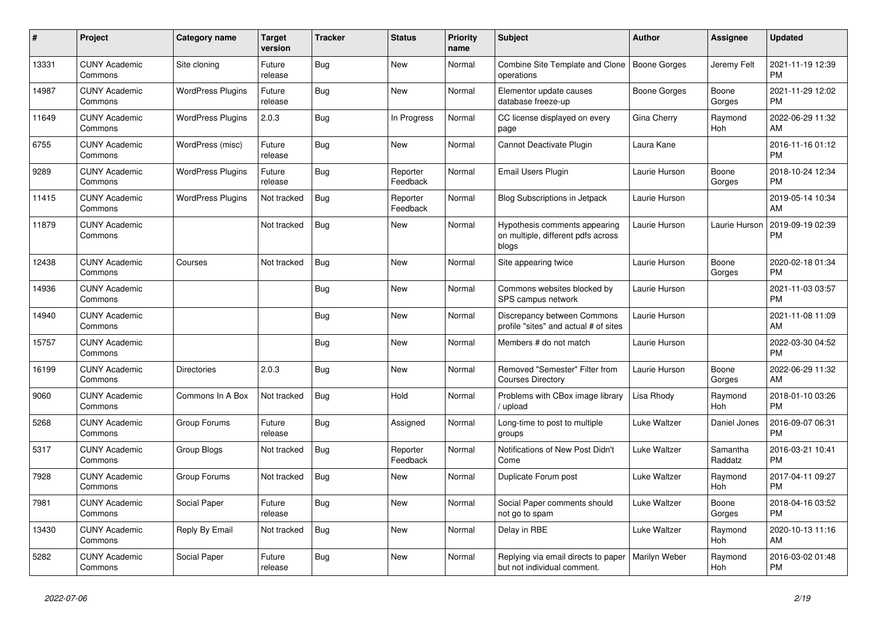| $\#$  | Project                         | <b>Category name</b>     | <b>Target</b><br>version | <b>Tracker</b> | <b>Status</b>        | <b>Priority</b><br>name | <b>Subject</b>                                                               | <b>Author</b> | Assignee            | <b>Updated</b>                |
|-------|---------------------------------|--------------------------|--------------------------|----------------|----------------------|-------------------------|------------------------------------------------------------------------------|---------------|---------------------|-------------------------------|
| 13331 | <b>CUNY Academic</b><br>Commons | Site cloning             | Future<br>release        | <b>Bug</b>     | <b>New</b>           | Normal                  | Combine Site Template and Clone<br>operations                                | Boone Gorges  | Jeremy Felt         | 2021-11-19 12:39<br><b>PM</b> |
| 14987 | <b>CUNY Academic</b><br>Commons | <b>WordPress Plugins</b> | Future<br>release        | <b>Bug</b>     | New                  | Normal                  | Elementor update causes<br>database freeze-up                                | Boone Gorges  | Boone<br>Gorges     | 2021-11-29 12:02<br><b>PM</b> |
| 11649 | <b>CUNY Academic</b><br>Commons | <b>WordPress Plugins</b> | 2.0.3                    | <b>Bug</b>     | In Progress          | Normal                  | CC license displayed on every<br>page                                        | Gina Cherry   | Raymond<br>Hoh      | 2022-06-29 11:32<br>AM        |
| 6755  | <b>CUNY Academic</b><br>Commons | WordPress (misc)         | Future<br>release        | <b>Bug</b>     | <b>New</b>           | Normal                  | Cannot Deactivate Plugin                                                     | Laura Kane    |                     | 2016-11-16 01:12<br><b>PM</b> |
| 9289  | <b>CUNY Academic</b><br>Commons | <b>WordPress Plugins</b> | Future<br>release        | Bug            | Reporter<br>Feedback | Normal                  | Email Users Plugin                                                           | Laurie Hurson | Boone<br>Gorges     | 2018-10-24 12:34<br><b>PM</b> |
| 11415 | <b>CUNY Academic</b><br>Commons | <b>WordPress Plugins</b> | Not tracked              | <b>Bug</b>     | Reporter<br>Feedback | Normal                  | Blog Subscriptions in Jetpack                                                | Laurie Hurson |                     | 2019-05-14 10:34<br>AM        |
| 11879 | <b>CUNY Academic</b><br>Commons |                          | Not tracked              | <b>Bug</b>     | <b>New</b>           | Normal                  | Hypothesis comments appearing<br>on multiple, different pdfs across<br>blogs | Laurie Hurson | Laurie Hurson       | 2019-09-19 02:39<br><b>PM</b> |
| 12438 | <b>CUNY Academic</b><br>Commons | Courses                  | Not tracked              | <b>Bug</b>     | <b>New</b>           | Normal                  | Site appearing twice                                                         | Laurie Hurson | Boone<br>Gorges     | 2020-02-18 01:34<br><b>PM</b> |
| 14936 | <b>CUNY Academic</b><br>Commons |                          |                          | Bug            | <b>New</b>           | Normal                  | Commons websites blocked by<br>SPS campus network                            | Laurie Hurson |                     | 2021-11-03 03:57<br><b>PM</b> |
| 14940 | <b>CUNY Academic</b><br>Commons |                          |                          | <b>Bug</b>     | <b>New</b>           | Normal                  | Discrepancy between Commons<br>profile "sites" and actual # of sites         | Laurie Hurson |                     | 2021-11-08 11:09<br>AM        |
| 15757 | <b>CUNY Academic</b><br>Commons |                          |                          | Bug            | <b>New</b>           | Normal                  | Members # do not match                                                       | Laurie Hurson |                     | 2022-03-30 04:52<br><b>PM</b> |
| 16199 | <b>CUNY Academic</b><br>Commons | <b>Directories</b>       | 2.0.3                    | <b>Bug</b>     | <b>New</b>           | Normal                  | Removed "Semester" Filter from<br><b>Courses Directory</b>                   | Laurie Hurson | Boone<br>Gorges     | 2022-06-29 11:32<br>AM        |
| 9060  | <b>CUNY Academic</b><br>Commons | Commons In A Box         | Not tracked              | Bug            | Hold                 | Normal                  | Problems with CBox image library<br>/ upload                                 | Lisa Rhody    | Raymond<br>Hoh      | 2018-01-10 03:26<br><b>PM</b> |
| 5268  | <b>CUNY Academic</b><br>Commons | Group Forums             | Future<br>release        | <b>Bug</b>     | Assigned             | Normal                  | Long-time to post to multiple<br>groups                                      | Luke Waltzer  | Daniel Jones        | 2016-09-07 06:31<br><b>PM</b> |
| 5317  | <b>CUNY Academic</b><br>Commons | Group Blogs              | Not tracked              | Bug            | Reporter<br>Feedback | Normal                  | Notifications of New Post Didn't<br>Come                                     | Luke Waltzer  | Samantha<br>Raddatz | 2016-03-21 10:41<br><b>PM</b> |
| 7928  | <b>CUNY Academic</b><br>Commons | Group Forums             | Not tracked              | Bug            | <b>New</b>           | Normal                  | Duplicate Forum post                                                         | Luke Waltzer  | Raymond<br>Hoh      | 2017-04-11 09:27<br><b>PM</b> |
| 7981  | <b>CUNY Academic</b><br>Commons | Social Paper             | Future<br>release        | <b>Bug</b>     | <b>New</b>           | Normal                  | Social Paper comments should<br>not go to spam                               | Luke Waltzer  | Boone<br>Gorges     | 2018-04-16 03:52<br><b>PM</b> |
| 13430 | <b>CUNY Academic</b><br>Commons | Reply By Email           | Not tracked              | <b>Bug</b>     | <b>New</b>           | Normal                  | Delay in RBE                                                                 | Luke Waltzer  | Raymond<br>Hoh      | 2020-10-13 11:16<br>AM        |
| 5282  | <b>CUNY Academic</b><br>Commons | Social Paper             | Future<br>release        | <b>Bug</b>     | <b>New</b>           | Normal                  | Replying via email directs to paper<br>but not individual comment.           | Marilyn Weber | Raymond<br>Hoh      | 2016-03-02 01:48<br><b>PM</b> |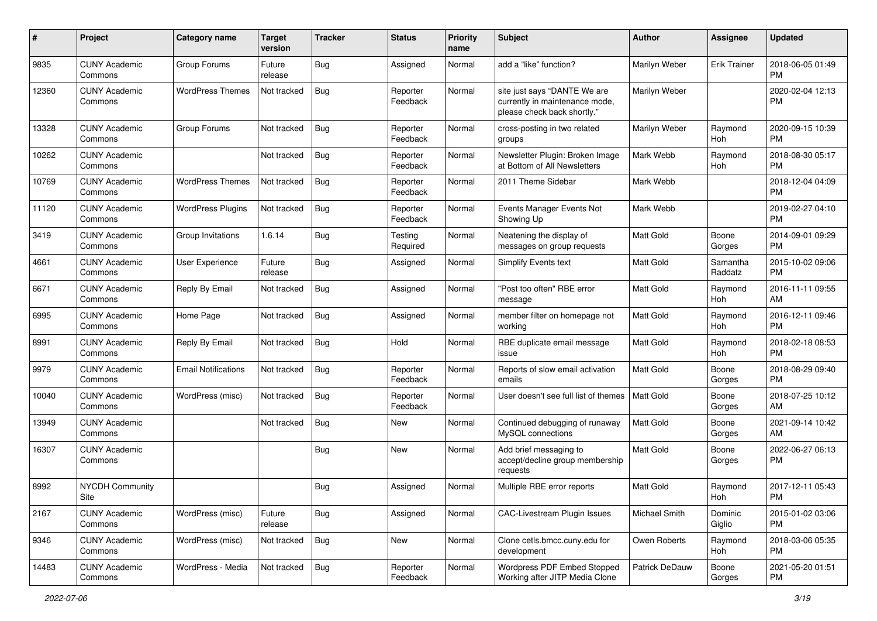| #     | Project                         | <b>Category name</b>       | <b>Target</b><br>version | <b>Tracker</b> | <b>Status</b>        | <b>Priority</b><br>name | <b>Subject</b>                                                                                | Author           | <b>Assignee</b>     | <b>Updated</b>                |
|-------|---------------------------------|----------------------------|--------------------------|----------------|----------------------|-------------------------|-----------------------------------------------------------------------------------------------|------------------|---------------------|-------------------------------|
| 9835  | <b>CUNY Academic</b><br>Commons | Group Forums               | Future<br>release        | <b>Bug</b>     | Assigned             | Normal                  | add a "like" function?                                                                        | Marilyn Weber    | <b>Erik Trainer</b> | 2018-06-05 01:49<br><b>PM</b> |
| 12360 | <b>CUNY Academic</b><br>Commons | <b>WordPress Themes</b>    | Not tracked              | Bug            | Reporter<br>Feedback | Normal                  | site just says "DANTE We are<br>currently in maintenance mode,<br>please check back shortly." | Marilyn Weber    |                     | 2020-02-04 12:13<br><b>PM</b> |
| 13328 | <b>CUNY Academic</b><br>Commons | Group Forums               | Not tracked              | Bug            | Reporter<br>Feedback | Normal                  | cross-posting in two related<br>groups                                                        | Marilyn Weber    | Raymond<br>Hoh      | 2020-09-15 10:39<br><b>PM</b> |
| 10262 | <b>CUNY Academic</b><br>Commons |                            | Not tracked              | Bug            | Reporter<br>Feedback | Normal                  | Newsletter Plugin: Broken Image<br>at Bottom of All Newsletters                               | Mark Webb        | Raymond<br>Hoh      | 2018-08-30 05:17<br><b>PM</b> |
| 10769 | <b>CUNY Academic</b><br>Commons | <b>WordPress Themes</b>    | Not tracked              | Bug            | Reporter<br>Feedback | Normal                  | 2011 Theme Sidebar                                                                            | Mark Webb        |                     | 2018-12-04 04:09<br><b>PM</b> |
| 11120 | <b>CUNY Academic</b><br>Commons | <b>WordPress Plugins</b>   | Not tracked              | Bug            | Reporter<br>Feedback | Normal                  | Events Manager Events Not<br>Showing Up                                                       | Mark Webb        |                     | 2019-02-27 04:10<br><b>PM</b> |
| 3419  | <b>CUNY Academic</b><br>Commons | Group Invitations          | 1.6.14                   | <b>Bug</b>     | Testing<br>Required  | Normal                  | Neatening the display of<br>messages on group requests                                        | <b>Matt Gold</b> | Boone<br>Gorges     | 2014-09-01 09:29<br><b>PM</b> |
| 4661  | <b>CUNY Academic</b><br>Commons | <b>User Experience</b>     | Future<br>release        | Bug            | Assigned             | Normal                  | <b>Simplify Events text</b>                                                                   | Matt Gold        | Samantha<br>Raddatz | 2015-10-02 09:06<br><b>PM</b> |
| 6671  | <b>CUNY Academic</b><br>Commons | Reply By Email             | Not tracked              | Bug            | Assigned             | Normal                  | "Post too often" RBE error<br>message                                                         | Matt Gold        | Raymond<br>Hoh      | 2016-11-11 09:55<br>AM        |
| 6995  | <b>CUNY Academic</b><br>Commons | Home Page                  | Not tracked              | <b>Bug</b>     | Assigned             | Normal                  | member filter on homepage not<br>working                                                      | <b>Matt Gold</b> | Raymond<br>Hoh      | 2016-12-11 09:46<br><b>PM</b> |
| 8991  | <b>CUNY Academic</b><br>Commons | Reply By Email             | Not tracked              | Bug            | Hold                 | Normal                  | RBE duplicate email message<br>issue                                                          | Matt Gold        | Raymond<br>Hoh      | 2018-02-18 08:53<br><b>PM</b> |
| 9979  | <b>CUNY Academic</b><br>Commons | <b>Email Notifications</b> | Not tracked              | Bug            | Reporter<br>Feedback | Normal                  | Reports of slow email activation<br>emails                                                    | Matt Gold        | Boone<br>Gorges     | 2018-08-29 09:40<br><b>PM</b> |
| 10040 | <b>CUNY Academic</b><br>Commons | WordPress (misc)           | Not tracked              | Bug            | Reporter<br>Feedback | Normal                  | User doesn't see full list of themes                                                          | Matt Gold        | Boone<br>Gorges     | 2018-07-25 10:12<br>AM        |
| 13949 | <b>CUNY Academic</b><br>Commons |                            | Not tracked              | Bug            | New                  | Normal                  | Continued debugging of runaway<br>MySQL connections                                           | Matt Gold        | Boone<br>Gorges     | 2021-09-14 10:42<br>AM        |
| 16307 | <b>CUNY Academic</b><br>Commons |                            |                          | <b>Bug</b>     | New                  | Normal                  | Add brief messaging to<br>accept/decline group membership<br>requests                         | Matt Gold        | Boone<br>Gorges     | 2022-06-27 06:13<br><b>PM</b> |
| 8992  | <b>NYCDH Community</b><br>Site  |                            |                          | <b>Bug</b>     | Assigned             | Normal                  | Multiple RBE error reports                                                                    | <b>Matt Gold</b> | Raymond<br>Hoh      | 2017-12-11 05:43<br>PM        |
| 2167  | <b>CUNY Academic</b><br>Commons | WordPress (misc)           | Future<br>release        | <b>Bug</b>     | Assigned             | Normal                  | CAC-Livestream Plugin Issues                                                                  | Michael Smith    | Dominic<br>Giglio   | 2015-01-02 03:06<br><b>PM</b> |
| 9346  | <b>CUNY Academic</b><br>Commons | WordPress (misc)           | Not tracked              | Bug            | New                  | Normal                  | Clone cetls.bmcc.cuny.edu for<br>development                                                  | Owen Roberts     | Raymond<br>Hoh      | 2018-03-06 05:35<br><b>PM</b> |
| 14483 | <b>CUNY Academic</b><br>Commons | WordPress - Media          | Not tracked              | Bug            | Reporter<br>Feedback | Normal                  | Wordpress PDF Embed Stopped<br>Working after JITP Media Clone                                 | Patrick DeDauw   | Boone<br>Gorges     | 2021-05-20 01:51<br>PM        |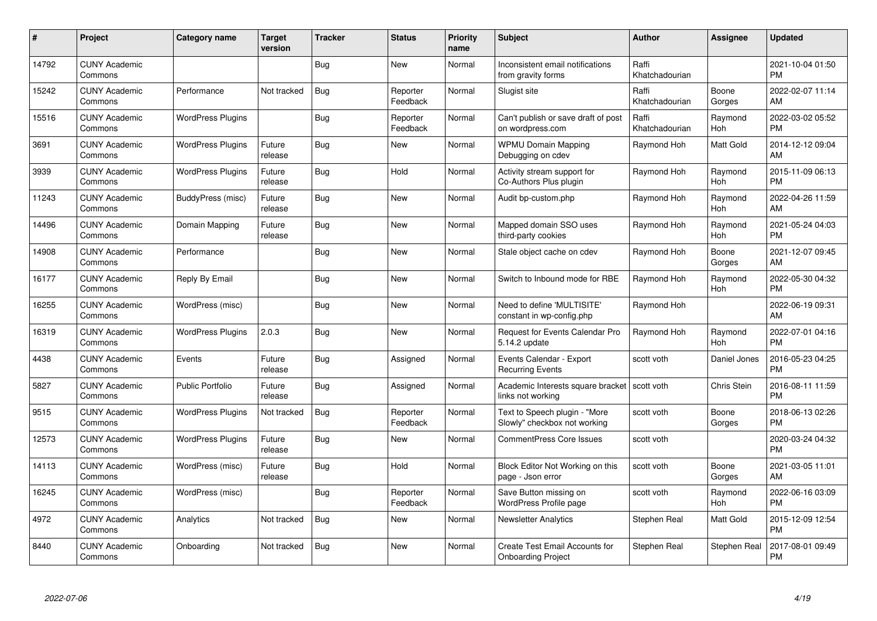| #     | Project                         | Category name            | <b>Target</b><br>version | <b>Tracker</b> | <b>Status</b>        | <b>Priority</b><br>name | <b>Subject</b>                                                      | <b>Author</b>           | <b>Assignee</b> | <b>Updated</b>                |
|-------|---------------------------------|--------------------------|--------------------------|----------------|----------------------|-------------------------|---------------------------------------------------------------------|-------------------------|-----------------|-------------------------------|
| 14792 | <b>CUNY Academic</b><br>Commons |                          |                          | Bug            | <b>New</b>           | Normal                  | Inconsistent email notifications<br>from gravity forms              | Raffi<br>Khatchadourian |                 | 2021-10-04 01:50<br><b>PM</b> |
| 15242 | <b>CUNY Academic</b><br>Commons | Performance              | Not tracked              | Bug            | Reporter<br>Feedback | Normal                  | Slugist site                                                        | Raffi<br>Khatchadourian | Boone<br>Gorges | 2022-02-07 11:14<br>AM        |
| 15516 | <b>CUNY Academic</b><br>Commons | <b>WordPress Plugins</b> |                          | Bug            | Reporter<br>Feedback | Normal                  | Can't publish or save draft of post<br>on wordpress.com             | Raffi<br>Khatchadourian | Raymond<br>Hoh  | 2022-03-02 05:52<br><b>PM</b> |
| 3691  | <b>CUNY Academic</b><br>Commons | <b>WordPress Plugins</b> | Future<br>release        | Bug            | New                  | Normal                  | <b>WPMU Domain Mapping</b><br>Debugging on cdev                     | Raymond Hoh             | Matt Gold       | 2014-12-12 09:04<br>AM        |
| 3939  | <b>CUNY Academic</b><br>Commons | <b>WordPress Plugins</b> | Future<br>release        | Bug            | Hold                 | Normal                  | Activity stream support for<br>Co-Authors Plus plugin               | Raymond Hoh             | Raymond<br>Hoh  | 2015-11-09 06:13<br><b>PM</b> |
| 11243 | <b>CUNY Academic</b><br>Commons | BuddyPress (misc)        | Future<br>release        | Bug            | New                  | Normal                  | Audit bp-custom.php                                                 | Raymond Hoh             | Raymond<br>Hoh  | 2022-04-26 11:59<br>AM        |
| 14496 | <b>CUNY Academic</b><br>Commons | Domain Mapping           | Future<br>release        | Bug            | <b>New</b>           | Normal                  | Mapped domain SSO uses<br>third-party cookies                       | Raymond Hoh             | Raymond<br>Hoh  | 2021-05-24 04:03<br><b>PM</b> |
| 14908 | <b>CUNY Academic</b><br>Commons | Performance              |                          | Bug            | New                  | Normal                  | Stale object cache on cdev                                          | Raymond Hoh             | Boone<br>Gorges | 2021-12-07 09:45<br>AM        |
| 16177 | <b>CUNY Academic</b><br>Commons | Reply By Email           |                          | Bug            | <b>New</b>           | Normal                  | Switch to Inbound mode for RBE                                      | Raymond Hoh             | Raymond<br>Hoh  | 2022-05-30 04:32<br><b>PM</b> |
| 16255 | <b>CUNY Academic</b><br>Commons | WordPress (misc)         |                          | Bug            | <b>New</b>           | Normal                  | Need to define 'MULTISITE'<br>constant in wp-config.php             | Raymond Hoh             |                 | 2022-06-19 09:31<br>AM        |
| 16319 | <b>CUNY Academic</b><br>Commons | <b>WordPress Plugins</b> | 2.0.3                    | Bug            | <b>New</b>           | Normal                  | <b>Request for Events Calendar Pro</b><br>5.14.2 update             | Raymond Hoh             | Raymond<br>Hoh  | 2022-07-01 04:16<br><b>PM</b> |
| 4438  | <b>CUNY Academic</b><br>Commons | Events                   | Future<br>release        | Bug            | Assigned             | Normal                  | Events Calendar - Export<br><b>Recurring Events</b>                 | scott voth              | Daniel Jones    | 2016-05-23 04:25<br><b>PM</b> |
| 5827  | <b>CUNY Academic</b><br>Commons | <b>Public Portfolio</b>  | Future<br>release        | <b>Bug</b>     | Assigned             | Normal                  | Academic Interests square bracket   scott voth<br>links not working |                         | Chris Stein     | 2016-08-11 11:59<br><b>PM</b> |
| 9515  | <b>CUNY Academic</b><br>Commons | <b>WordPress Plugins</b> | Not tracked              | Bug            | Reporter<br>Feedback | Normal                  | Text to Speech plugin - "More<br>Slowly" checkbox not working       | scott voth              | Boone<br>Gorges | 2018-06-13 02:26<br><b>PM</b> |
| 12573 | <b>CUNY Academic</b><br>Commons | <b>WordPress Plugins</b> | Future<br>release        | <b>Bug</b>     | <b>New</b>           | Normal                  | <b>CommentPress Core Issues</b>                                     | scott voth              |                 | 2020-03-24 04:32<br><b>PM</b> |
| 14113 | <b>CUNY Academic</b><br>Commons | WordPress (misc)         | Future<br>release        | Bug            | Hold                 | Normal                  | Block Editor Not Working on this<br>page - Json error               | scott voth              | Boone<br>Gorges | 2021-03-05 11:01<br>AM        |
| 16245 | <b>CUNY Academic</b><br>Commons | WordPress (misc)         |                          | Bug            | Reporter<br>Feedback | Normal                  | Save Button missing on<br><b>WordPress Profile page</b>             | scott voth              | Raymond<br>Hoh  | 2022-06-16 03:09<br><b>PM</b> |
| 4972  | <b>CUNY Academic</b><br>Commons | Analytics                | Not tracked              | Bug            | New                  | Normal                  | <b>Newsletter Analytics</b>                                         | Stephen Real            | Matt Gold       | 2015-12-09 12:54<br><b>PM</b> |
| 8440  | <b>CUNY Academic</b><br>Commons | Onboarding               | Not tracked              | Bug            | New                  | Normal                  | Create Test Email Accounts for<br><b>Onboarding Project</b>         | Stephen Real            | Stephen Real    | 2017-08-01 09:49<br><b>PM</b> |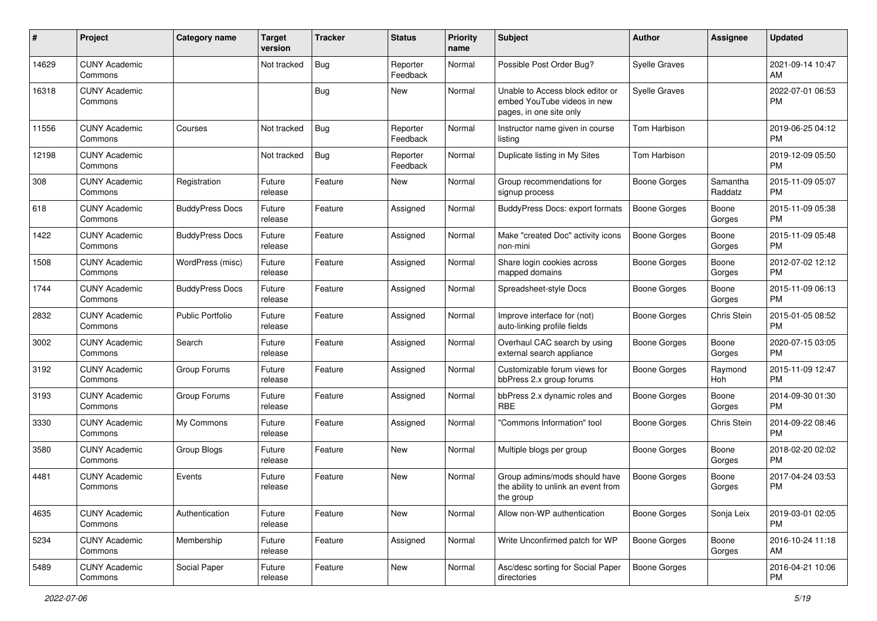| #     | Project                         | <b>Category name</b>    | <b>Target</b><br>version | <b>Tracker</b> | <b>Status</b>        | <b>Priority</b><br>name | <b>Subject</b>                                                                             | Author               | <b>Assignee</b>     | <b>Updated</b>                |
|-------|---------------------------------|-------------------------|--------------------------|----------------|----------------------|-------------------------|--------------------------------------------------------------------------------------------|----------------------|---------------------|-------------------------------|
| 14629 | <b>CUNY Academic</b><br>Commons |                         | Not tracked              | Bug            | Reporter<br>Feedback | Normal                  | Possible Post Order Bug?                                                                   | <b>Syelle Graves</b> |                     | 2021-09-14 10:47<br>AM.       |
| 16318 | <b>CUNY Academic</b><br>Commons |                         |                          | <b>Bug</b>     | New                  | Normal                  | Unable to Access block editor or<br>embed YouTube videos in new<br>pages, in one site only | <b>Syelle Graves</b> |                     | 2022-07-01 06:53<br><b>PM</b> |
| 11556 | <b>CUNY Academic</b><br>Commons | Courses                 | Not tracked              | <b>Bug</b>     | Reporter<br>Feedback | Normal                  | Instructor name given in course<br>listing                                                 | Tom Harbison         |                     | 2019-06-25 04:12<br><b>PM</b> |
| 12198 | <b>CUNY Academic</b><br>Commons |                         | Not tracked              | Bug            | Reporter<br>Feedback | Normal                  | Duplicate listing in My Sites                                                              | Tom Harbison         |                     | 2019-12-09 05:50<br><b>PM</b> |
| 308   | <b>CUNY Academic</b><br>Commons | Registration            | Future<br>release        | Feature        | New                  | Normal                  | Group recommendations for<br>signup process                                                | <b>Boone Gorges</b>  | Samantha<br>Raddatz | 2015-11-09 05:07<br><b>PM</b> |
| 618   | <b>CUNY Academic</b><br>Commons | <b>BuddyPress Docs</b>  | Future<br>release        | Feature        | Assigned             | Normal                  | <b>BuddyPress Docs: export formats</b>                                                     | Boone Gorges         | Boone<br>Gorges     | 2015-11-09 05:38<br><b>PM</b> |
| 1422  | <b>CUNY Academic</b><br>Commons | <b>BuddyPress Docs</b>  | Future<br>release        | Feature        | Assigned             | Normal                  | Make "created Doc" activity icons<br>non-mini                                              | <b>Boone Gorges</b>  | Boone<br>Gorges     | 2015-11-09 05:48<br><b>PM</b> |
| 1508  | <b>CUNY Academic</b><br>Commons | WordPress (misc)        | Future<br>release        | Feature        | Assigned             | Normal                  | Share login cookies across<br>mapped domains                                               | <b>Boone Gorges</b>  | Boone<br>Gorges     | 2012-07-02 12:12<br><b>PM</b> |
| 1744  | <b>CUNY Academic</b><br>Commons | <b>BuddyPress Docs</b>  | Future<br>release        | Feature        | Assigned             | Normal                  | Spreadsheet-style Docs                                                                     | <b>Boone Gorges</b>  | Boone<br>Gorges     | 2015-11-09 06:13<br>PM.       |
| 2832  | <b>CUNY Academic</b><br>Commons | <b>Public Portfolio</b> | Future<br>release        | Feature        | Assigned             | Normal                  | Improve interface for (not)<br>auto-linking profile fields                                 | <b>Boone Gorges</b>  | Chris Stein         | 2015-01-05 08:52<br><b>PM</b> |
| 3002  | <b>CUNY Academic</b><br>Commons | Search                  | Future<br>release        | Feature        | Assigned             | Normal                  | Overhaul CAC search by using<br>external search appliance                                  | Boone Gorges         | Boone<br>Gorges     | 2020-07-15 03:05<br>PM.       |
| 3192  | <b>CUNY Academic</b><br>Commons | Group Forums            | Future<br>release        | Feature        | Assigned             | Normal                  | Customizable forum views for<br>bbPress 2.x group forums                                   | Boone Gorges         | Raymond<br>Hoh      | 2015-11-09 12:47<br><b>PM</b> |
| 3193  | <b>CUNY Academic</b><br>Commons | Group Forums            | Future<br>release        | Feature        | Assigned             | Normal                  | bbPress 2.x dynamic roles and<br>RBE                                                       | Boone Gorges         | Boone<br>Gorges     | 2014-09-30 01:30<br><b>PM</b> |
| 3330  | <b>CUNY Academic</b><br>Commons | My Commons              | Future<br>release        | Feature        | Assigned             | Normal                  | 'Commons Information" tool                                                                 | Boone Gorges         | Chris Stein         | 2014-09-22 08:46<br><b>PM</b> |
| 3580  | <b>CUNY Academic</b><br>Commons | Group Blogs             | Future<br>release        | Feature        | New                  | Normal                  | Multiple blogs per group                                                                   | Boone Gorges         | Boone<br>Gorges     | 2018-02-20 02:02<br><b>PM</b> |
| 4481  | <b>CUNY Academic</b><br>Commons | Events                  | Future<br>release        | Feature        | New                  | Normal                  | Group admins/mods should have<br>the ability to unlink an event from<br>the group          | <b>Boone Gorges</b>  | Boone<br>Gorges     | 2017-04-24 03:53<br><b>PM</b> |
| 4635  | <b>CUNY Academic</b><br>Commons | Authentication          | Future<br>release        | Feature        | New                  | Normal                  | Allow non-WP authentication                                                                | <b>Boone Gorges</b>  | Sonja Leix          | 2019-03-01 02:05<br>PM        |
| 5234  | <b>CUNY Academic</b><br>Commons | Membership              | Future<br>release        | Feature        | Assigned             | Normal                  | Write Unconfirmed patch for WP                                                             | <b>Boone Gorges</b>  | Boone<br>Gorges     | 2016-10-24 11:18<br>AM        |
| 5489  | <b>CUNY Academic</b><br>Commons | Social Paper            | Future<br>release        | Feature        | New                  | Normal                  | Asc/desc sorting for Social Paper<br>directories                                           | <b>Boone Gorges</b>  |                     | 2016-04-21 10:06<br><b>PM</b> |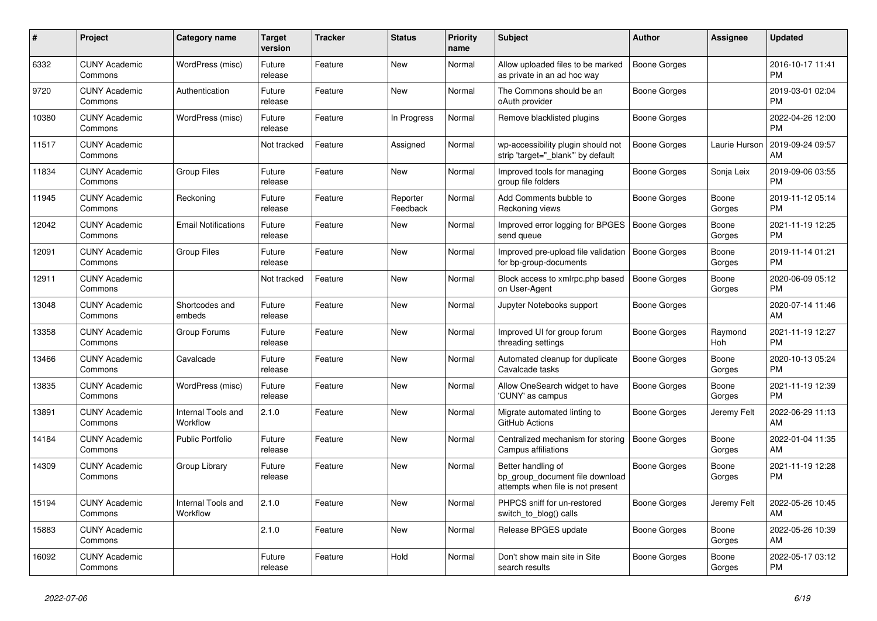| $\pmb{\#}$ | <b>Project</b>                  | Category name                  | <b>Target</b><br>version | <b>Tracker</b> | <b>Status</b>        | <b>Priority</b><br>name | <b>Subject</b>                                                                             | <b>Author</b>       | Assignee        | <b>Updated</b>                |
|------------|---------------------------------|--------------------------------|--------------------------|----------------|----------------------|-------------------------|--------------------------------------------------------------------------------------------|---------------------|-----------------|-------------------------------|
| 6332       | <b>CUNY Academic</b><br>Commons | WordPress (misc)               | Future<br>release        | Feature        | <b>New</b>           | Normal                  | Allow uploaded files to be marked<br>as private in an ad hoc way                           | <b>Boone Gorges</b> |                 | 2016-10-17 11:41<br><b>PM</b> |
| 9720       | <b>CUNY Academic</b><br>Commons | Authentication                 | Future<br>release        | Feature        | <b>New</b>           | Normal                  | The Commons should be an<br>oAuth provider                                                 | Boone Gorges        |                 | 2019-03-01 02:04<br><b>PM</b> |
| 10380      | <b>CUNY Academic</b><br>Commons | WordPress (misc)               | Future<br>release        | Feature        | In Progress          | Normal                  | Remove blacklisted plugins                                                                 | Boone Gorges        |                 | 2022-04-26 12:00<br><b>PM</b> |
| 11517      | <b>CUNY Academic</b><br>Commons |                                | Not tracked              | Feature        | Assigned             | Normal                  | wp-accessibility plugin should not<br>strip 'target=" blank" by default                    | <b>Boone Gorges</b> | Laurie Hurson   | 2019-09-24 09:57<br>AM        |
| 11834      | <b>CUNY Academic</b><br>Commons | <b>Group Files</b>             | Future<br>release        | Feature        | <b>New</b>           | Normal                  | Improved tools for managing<br>group file folders                                          | Boone Gorges        | Sonja Leix      | 2019-09-06 03:55<br><b>PM</b> |
| 11945      | <b>CUNY Academic</b><br>Commons | Reckoning                      | Future<br>release        | Feature        | Reporter<br>Feedback | Normal                  | Add Comments bubble to<br>Reckoning views                                                  | Boone Gorges        | Boone<br>Gorges | 2019-11-12 05:14<br><b>PM</b> |
| 12042      | <b>CUNY Academic</b><br>Commons | <b>Email Notifications</b>     | Future<br>release        | Feature        | <b>New</b>           | Normal                  | Improved error logging for BPGES<br>send queue                                             | Boone Gorges        | Boone<br>Gorges | 2021-11-19 12:25<br><b>PM</b> |
| 12091      | <b>CUNY Academic</b><br>Commons | <b>Group Files</b>             | Future<br>release        | Feature        | New                  | Normal                  | Improved pre-upload file validation<br>for bp-group-documents                              | Boone Gorges        | Boone<br>Gorges | 2019-11-14 01:21<br><b>PM</b> |
| 12911      | <b>CUNY Academic</b><br>Commons |                                | Not tracked              | Feature        | <b>New</b>           | Normal                  | Block access to xmlrpc.php based<br>on User-Agent                                          | <b>Boone Gorges</b> | Boone<br>Gorges | 2020-06-09 05:12<br><b>PM</b> |
| 13048      | <b>CUNY Academic</b><br>Commons | Shortcodes and<br>embeds       | Future<br>release        | Feature        | <b>New</b>           | Normal                  | Jupyter Notebooks support                                                                  | Boone Gorges        |                 | 2020-07-14 11:46<br>AM        |
| 13358      | <b>CUNY Academic</b><br>Commons | Group Forums                   | Future<br>release        | Feature        | <b>New</b>           | Normal                  | Improved UI for group forum<br>threading settings                                          | Boone Gorges        | Raymond<br>Hoh  | 2021-11-19 12:27<br><b>PM</b> |
| 13466      | <b>CUNY Academic</b><br>Commons | Cavalcade                      | Future<br>release        | Feature        | <b>New</b>           | Normal                  | Automated cleanup for duplicate<br>Cavalcade tasks                                         | <b>Boone Gorges</b> | Boone<br>Gorges | 2020-10-13 05:24<br><b>PM</b> |
| 13835      | <b>CUNY Academic</b><br>Commons | WordPress (misc)               | Future<br>release        | Feature        | <b>New</b>           | Normal                  | Allow OneSearch widget to have<br>'CUNY' as campus                                         | <b>Boone Gorges</b> | Boone<br>Gorges | 2021-11-19 12:39<br><b>PM</b> |
| 13891      | <b>CUNY Academic</b><br>Commons | Internal Tools and<br>Workflow | 2.1.0                    | Feature        | <b>New</b>           | Normal                  | Migrate automated linting to<br>GitHub Actions                                             | Boone Gorges        | Jeremy Felt     | 2022-06-29 11:13<br>AM        |
| 14184      | <b>CUNY Academic</b><br>Commons | Public Portfolio               | Future<br>release        | Feature        | <b>New</b>           | Normal                  | Centralized mechanism for storing<br>Campus affiliations                                   | <b>Boone Gorges</b> | Boone<br>Gorges | 2022-01-04 11:35<br>AM        |
| 14309      | <b>CUNY Academic</b><br>Commons | Group Library                  | Future<br>release        | Feature        | <b>New</b>           | Normal                  | Better handling of<br>bp_group_document file download<br>attempts when file is not present | <b>Boone Gorges</b> | Boone<br>Gorges | 2021-11-19 12:28<br><b>PM</b> |
| 15194      | <b>CUNY Academic</b><br>Commons | Internal Tools and<br>Workflow | 2.1.0                    | Feature        | <b>New</b>           | Normal                  | PHPCS sniff for un-restored<br>switch_to_blog() calls                                      | Boone Gorges        | Jeremy Felt     | 2022-05-26 10:45<br>AM        |
| 15883      | <b>CUNY Academic</b><br>Commons |                                | 2.1.0                    | Feature        | New                  | Normal                  | Release BPGES update                                                                       | Boone Gorges        | Boone<br>Gorges | 2022-05-26 10:39<br>AM        |
| 16092      | <b>CUNY Academic</b><br>Commons |                                | Future<br>release        | Feature        | Hold                 | Normal                  | Don't show main site in Site<br>search results                                             | Boone Gorges        | Boone<br>Gorges | 2022-05-17 03:12<br><b>PM</b> |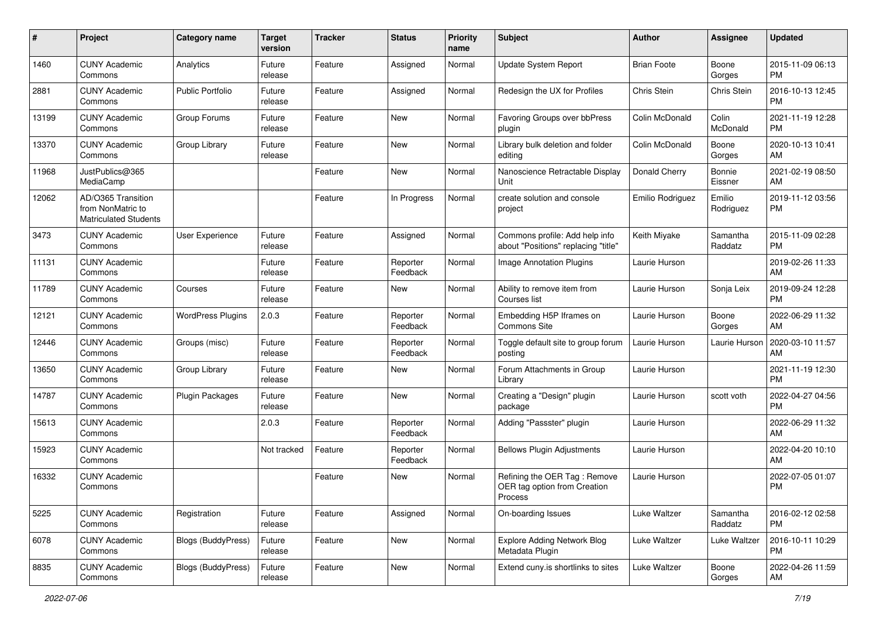| $\#$  | Project                                                                 | <b>Category name</b>      | <b>Target</b><br>version | <b>Tracker</b> | <b>Status</b>        | <b>Priority</b><br>name | <b>Subject</b>                                                          | Author             | <b>Assignee</b>     | <b>Updated</b>                |
|-------|-------------------------------------------------------------------------|---------------------------|--------------------------|----------------|----------------------|-------------------------|-------------------------------------------------------------------------|--------------------|---------------------|-------------------------------|
| 1460  | <b>CUNY Academic</b><br>Commons                                         | Analytics                 | Future<br>release        | Feature        | Assigned             | Normal                  | Update System Report                                                    | <b>Brian Foote</b> | Boone<br>Gorges     | 2015-11-09 06:13<br>PM.       |
| 2881  | <b>CUNY Academic</b><br>Commons                                         | <b>Public Portfolio</b>   | Future<br>release        | Feature        | Assigned             | Normal                  | Redesign the UX for Profiles                                            | Chris Stein        | Chris Stein         | 2016-10-13 12:45<br><b>PM</b> |
| 13199 | <b>CUNY Academic</b><br>Commons                                         | Group Forums              | Future<br>release        | Feature        | New                  | Normal                  | Favoring Groups over bbPress<br>plugin                                  | Colin McDonald     | Colin<br>McDonald   | 2021-11-19 12:28<br><b>PM</b> |
| 13370 | <b>CUNY Academic</b><br>Commons                                         | Group Library             | Future<br>release        | Feature        | New                  | Normal                  | Library bulk deletion and folder<br>editing                             | Colin McDonald     | Boone<br>Gorges     | 2020-10-13 10:41<br>AM        |
| 11968 | JustPublics@365<br>MediaCamp                                            |                           |                          | Feature        | New                  | Normal                  | Nanoscience Retractable Display<br>Unit                                 | Donald Cherry      | Bonnie<br>Eissner   | 2021-02-19 08:50<br>AM        |
| 12062 | AD/O365 Transition<br>from NonMatric to<br><b>Matriculated Students</b> |                           |                          | Feature        | In Progress          | Normal                  | create solution and console<br>project                                  | Emilio Rodriguez   | Emilio<br>Rodriguez | 2019-11-12 03:56<br><b>PM</b> |
| 3473  | <b>CUNY Academic</b><br>Commons                                         | User Experience           | Future<br>release        | Feature        | Assigned             | Normal                  | Commons profile: Add help info<br>about "Positions" replacing "title"   | Keith Miyake       | Samantha<br>Raddatz | 2015-11-09 02:28<br><b>PM</b> |
| 11131 | <b>CUNY Academic</b><br>Commons                                         |                           | Future<br>release        | Feature        | Reporter<br>Feedback | Normal                  | <b>Image Annotation Plugins</b>                                         | Laurie Hurson      |                     | 2019-02-26 11:33<br>AM        |
| 11789 | <b>CUNY Academic</b><br>Commons                                         | Courses                   | Future<br>release        | Feature        | New                  | Normal                  | Ability to remove item from<br>Courses list                             | Laurie Hurson      | Sonja Leix          | 2019-09-24 12:28<br><b>PM</b> |
| 12121 | <b>CUNY Academic</b><br>Commons                                         | <b>WordPress Plugins</b>  | 2.0.3                    | Feature        | Reporter<br>Feedback | Normal                  | Embedding H5P Iframes on<br>Commons Site                                | Laurie Hurson      | Boone<br>Gorges     | 2022-06-29 11:32<br>AM        |
| 12446 | <b>CUNY Academic</b><br>Commons                                         | Groups (misc)             | Future<br>release        | Feature        | Reporter<br>Feedback | Normal                  | Toggle default site to group forum<br>posting                           | Laurie Hurson      | Laurie Hurson       | 2020-03-10 11:57<br>AM        |
| 13650 | <b>CUNY Academic</b><br>Commons                                         | Group Library             | Future<br>release        | Feature        | New                  | Normal                  | Forum Attachments in Group<br>Library                                   | Laurie Hurson      |                     | 2021-11-19 12:30<br><b>PM</b> |
| 14787 | <b>CUNY Academic</b><br>Commons                                         | Plugin Packages           | Future<br>release        | Feature        | New                  | Normal                  | Creating a "Design" plugin<br>package                                   | Laurie Hurson      | scott voth          | 2022-04-27 04:56<br><b>PM</b> |
| 15613 | <b>CUNY Academic</b><br>Commons                                         |                           | 2.0.3                    | Feature        | Reporter<br>Feedback | Normal                  | Adding "Passster" plugin                                                | Laurie Hurson      |                     | 2022-06-29 11:32<br>AM        |
| 15923 | <b>CUNY Academic</b><br>Commons                                         |                           | Not tracked              | Feature        | Reporter<br>Feedback | Normal                  | <b>Bellows Plugin Adjustments</b>                                       | Laurie Hurson      |                     | 2022-04-20 10:10<br>AM        |
| 16332 | <b>CUNY Academic</b><br>Commons                                         |                           |                          | Feature        | New                  | Normal                  | Refining the OER Tag: Remove<br>OER tag option from Creation<br>Process | Laurie Hurson      |                     | 2022-07-05 01:07<br><b>PM</b> |
| 5225  | <b>CUNY Academic</b><br>Commons                                         | Registration              | Future<br>release        | Feature        | Assigned             | Normal                  | On-boarding Issues                                                      | Luke Waltzer       | Samantha<br>Raddatz | 2016-02-12 02:58<br><b>PM</b> |
| 6078  | <b>CUNY Academic</b><br>Commons                                         | <b>Blogs (BuddyPress)</b> | Future<br>release        | Feature        | New                  | Normal                  | <b>Explore Adding Network Blog</b><br>Metadata Plugin                   | Luke Waltzer       | Luke Waltzer        | 2016-10-11 10:29<br><b>PM</b> |
| 8835  | <b>CUNY Academic</b><br>Commons                                         | <b>Blogs (BuddyPress)</b> | Future<br>release        | Feature        | New                  | Normal                  | Extend cuny.is shortlinks to sites                                      | Luke Waltzer       | Boone<br>Gorges     | 2022-04-26 11:59<br>AM        |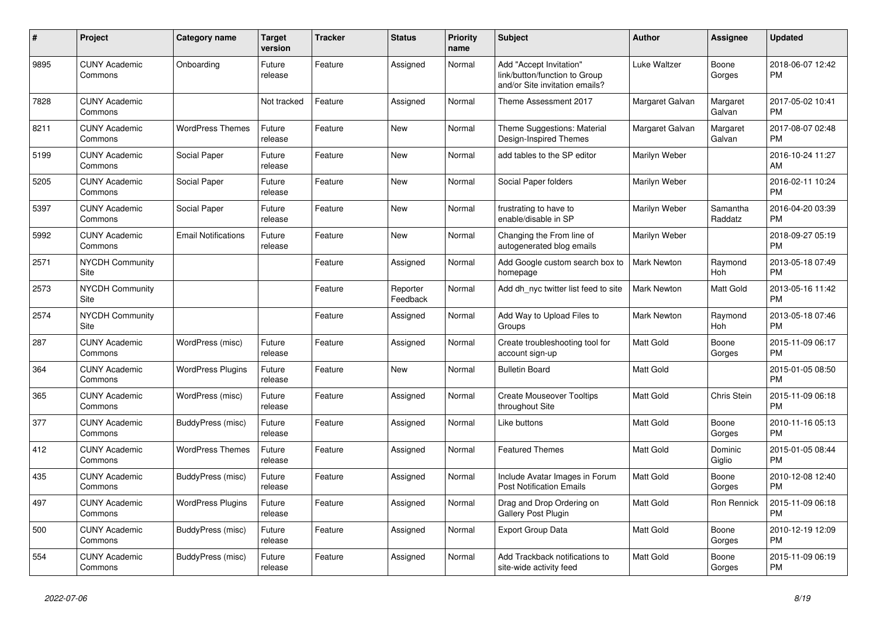| #    | Project                         | <b>Category name</b>       | <b>Target</b><br>version | <b>Tracker</b> | <b>Status</b>        | Priority<br>name | <b>Subject</b>                                                                             | <b>Author</b>      | <b>Assignee</b>     | <b>Updated</b>                |
|------|---------------------------------|----------------------------|--------------------------|----------------|----------------------|------------------|--------------------------------------------------------------------------------------------|--------------------|---------------------|-------------------------------|
| 9895 | <b>CUNY Academic</b><br>Commons | Onboarding                 | Future<br>release        | Feature        | Assigned             | Normal           | Add "Accept Invitation"<br>link/button/function to Group<br>and/or Site invitation emails? | Luke Waltzer       | Boone<br>Gorges     | 2018-06-07 12:42<br><b>PM</b> |
| 7828 | <b>CUNY Academic</b><br>Commons |                            | Not tracked              | Feature        | Assigned             | Normal           | Theme Assessment 2017                                                                      | Margaret Galvan    | Margaret<br>Galvan  | 2017-05-02 10:41<br><b>PM</b> |
| 8211 | <b>CUNY Academic</b><br>Commons | <b>WordPress Themes</b>    | Future<br>release        | Feature        | <b>New</b>           | Normal           | Theme Suggestions: Material<br>Design-Inspired Themes                                      | Margaret Galvan    | Margaret<br>Galvan  | 2017-08-07 02:48<br><b>PM</b> |
| 5199 | <b>CUNY Academic</b><br>Commons | Social Paper               | Future<br>release        | Feature        | New                  | Normal           | add tables to the SP editor                                                                | Marilyn Weber      |                     | 2016-10-24 11:27<br>AM        |
| 5205 | <b>CUNY Academic</b><br>Commons | Social Paper               | Future<br>release        | Feature        | <b>New</b>           | Normal           | Social Paper folders                                                                       | Marilyn Weber      |                     | 2016-02-11 10:24<br><b>PM</b> |
| 5397 | <b>CUNY Academic</b><br>Commons | Social Paper               | Future<br>release        | Feature        | <b>New</b>           | Normal           | frustrating to have to<br>enable/disable in SP                                             | Marilyn Weber      | Samantha<br>Raddatz | 2016-04-20 03:39<br><b>PM</b> |
| 5992 | <b>CUNY Academic</b><br>Commons | <b>Email Notifications</b> | Future<br>release        | Feature        | <b>New</b>           | Normal           | Changing the From line of<br>autogenerated blog emails                                     | Marilyn Weber      |                     | 2018-09-27 05:19<br><b>PM</b> |
| 2571 | <b>NYCDH Community</b><br>Site  |                            |                          | Feature        | Assigned             | Normal           | Add Google custom search box to<br>homepage                                                | <b>Mark Newton</b> | Raymond<br>Hoh      | 2013-05-18 07:49<br><b>PM</b> |
| 2573 | <b>NYCDH Community</b><br>Site  |                            |                          | Feature        | Reporter<br>Feedback | Normal           | Add dh nyc twitter list feed to site                                                       | <b>Mark Newton</b> | Matt Gold           | 2013-05-16 11:42<br><b>PM</b> |
| 2574 | <b>NYCDH Community</b><br>Site  |                            |                          | Feature        | Assigned             | Normal           | Add Way to Upload Files to<br>Groups                                                       | <b>Mark Newton</b> | Raymond<br>Hoh      | 2013-05-18 07:46<br><b>PM</b> |
| 287  | <b>CUNY Academic</b><br>Commons | WordPress (misc)           | Future<br>release        | Feature        | Assigned             | Normal           | Create troubleshooting tool for<br>account sign-up                                         | <b>Matt Gold</b>   | Boone<br>Gorges     | 2015-11-09 06:17<br><b>PM</b> |
| 364  | <b>CUNY Academic</b><br>Commons | <b>WordPress Plugins</b>   | Future<br>release        | Feature        | <b>New</b>           | Normal           | <b>Bulletin Board</b>                                                                      | <b>Matt Gold</b>   |                     | 2015-01-05 08:50<br><b>PM</b> |
| 365  | <b>CUNY Academic</b><br>Commons | WordPress (misc)           | Future<br>release        | Feature        | Assigned             | Normal           | <b>Create Mouseover Tooltips</b><br>throughout Site                                        | <b>Matt Gold</b>   | <b>Chris Stein</b>  | 2015-11-09 06:18<br><b>PM</b> |
| 377  | <b>CUNY Academic</b><br>Commons | BuddyPress (misc)          | Future<br>release        | Feature        | Assigned             | Normal           | Like buttons                                                                               | Matt Gold          | Boone<br>Gorges     | 2010-11-16 05:13<br><b>PM</b> |
| 412  | <b>CUNY Academic</b><br>Commons | <b>WordPress Themes</b>    | Future<br>release        | Feature        | Assigned             | Normal           | <b>Featured Themes</b>                                                                     | <b>Matt Gold</b>   | Dominic<br>Giglio   | 2015-01-05 08:44<br><b>PM</b> |
| 435  | <b>CUNY Academic</b><br>Commons | BuddyPress (misc)          | Future<br>release        | Feature        | Assigned             | Normal           | Include Avatar Images in Forum<br><b>Post Notification Emails</b>                          | <b>Matt Gold</b>   | Boone<br>Gorges     | 2010-12-08 12:40<br><b>PM</b> |
| 497  | <b>CUNY Academic</b><br>Commons | <b>WordPress Plugins</b>   | Future<br>release        | Feature        | Assigned             | Normal           | Drag and Drop Ordering on<br><b>Gallery Post Plugin</b>                                    | <b>Matt Gold</b>   | Ron Rennick         | 2015-11-09 06:18<br><b>PM</b> |
| 500  | <b>CUNY Academic</b><br>Commons | BuddyPress (misc)          | Future<br>release        | Feature        | Assigned             | Normal           | <b>Export Group Data</b>                                                                   | <b>Matt Gold</b>   | Boone<br>Gorges     | 2010-12-19 12:09<br><b>PM</b> |
| 554  | <b>CUNY Academic</b><br>Commons | BuddyPress (misc)          | Future<br>release        | Feature        | Assigned             | Normal           | Add Trackback notifications to<br>site-wide activity feed                                  | <b>Matt Gold</b>   | Boone<br>Gorges     | 2015-11-09 06:19<br><b>PM</b> |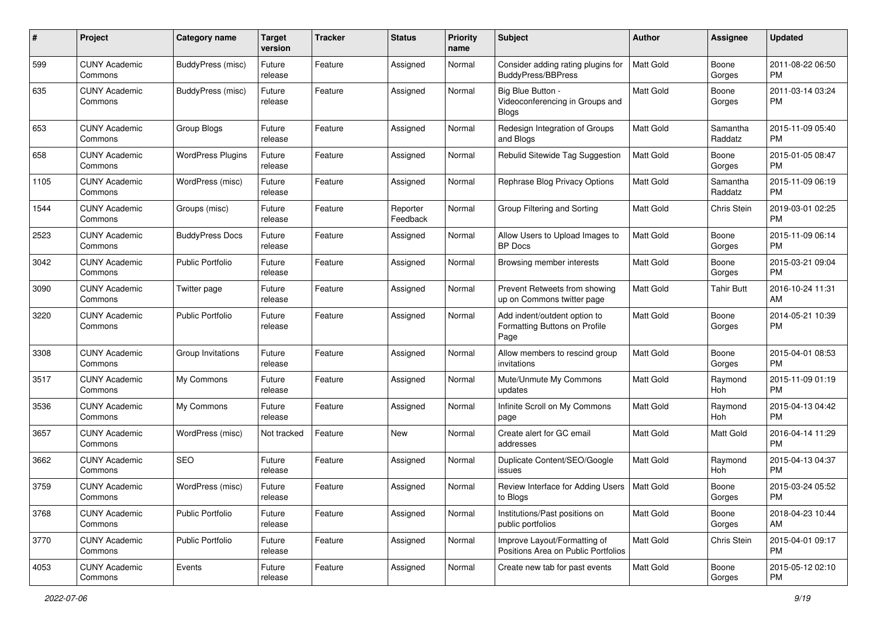| #    | Project                         | <b>Category name</b>     | <b>Target</b><br>version | <b>Tracker</b> | <b>Status</b>        | <b>Priority</b><br>name | Subject                                                               | Author           | <b>Assignee</b>     | <b>Updated</b>                |
|------|---------------------------------|--------------------------|--------------------------|----------------|----------------------|-------------------------|-----------------------------------------------------------------------|------------------|---------------------|-------------------------------|
| 599  | <b>CUNY Academic</b><br>Commons | BuddyPress (misc)        | Future<br>release        | Feature        | Assigned             | Normal                  | Consider adding rating plugins for<br><b>BuddyPress/BBPress</b>       | <b>Matt Gold</b> | Boone<br>Gorges     | 2011-08-22 06:50<br><b>PM</b> |
| 635  | <b>CUNY Academic</b><br>Commons | BuddyPress (misc)        | Future<br>release        | Feature        | Assigned             | Normal                  | Big Blue Button -<br>Videoconferencing in Groups and<br>Blogs         | Matt Gold        | Boone<br>Gorges     | 2011-03-14 03:24<br><b>PM</b> |
| 653  | <b>CUNY Academic</b><br>Commons | Group Blogs              | Future<br>release        | Feature        | Assigned             | Normal                  | Redesign Integration of Groups<br>and Blogs                           | <b>Matt Gold</b> | Samantha<br>Raddatz | 2015-11-09 05:40<br><b>PM</b> |
| 658  | <b>CUNY Academic</b><br>Commons | <b>WordPress Plugins</b> | Future<br>release        | Feature        | Assigned             | Normal                  | Rebulid Sitewide Tag Suggestion                                       | <b>Matt Gold</b> | Boone<br>Gorges     | 2015-01-05 08:47<br><b>PM</b> |
| 1105 | <b>CUNY Academic</b><br>Commons | WordPress (misc)         | Future<br>release        | Feature        | Assigned             | Normal                  | Rephrase Blog Privacy Options                                         | <b>Matt Gold</b> | Samantha<br>Raddatz | 2015-11-09 06:19<br><b>PM</b> |
| 1544 | <b>CUNY Academic</b><br>Commons | Groups (misc)            | Future<br>release        | Feature        | Reporter<br>Feedback | Normal                  | Group Filtering and Sorting                                           | <b>Matt Gold</b> | Chris Stein         | 2019-03-01 02:25<br><b>PM</b> |
| 2523 | <b>CUNY Academic</b><br>Commons | <b>BuddyPress Docs</b>   | Future<br>release        | Feature        | Assigned             | Normal                  | Allow Users to Upload Images to<br><b>BP</b> Docs                     | <b>Matt Gold</b> | Boone<br>Gorges     | 2015-11-09 06:14<br><b>PM</b> |
| 3042 | <b>CUNY Academic</b><br>Commons | <b>Public Portfolio</b>  | Future<br>release        | Feature        | Assigned             | Normal                  | Browsing member interests                                             | Matt Gold        | Boone<br>Gorges     | 2015-03-21 09:04<br><b>PM</b> |
| 3090 | <b>CUNY Academic</b><br>Commons | Twitter page             | Future<br>release        | Feature        | Assigned             | Normal                  | Prevent Retweets from showing<br>up on Commons twitter page           | <b>Matt Gold</b> | <b>Tahir Butt</b>   | 2016-10-24 11:31<br>AM        |
| 3220 | <b>CUNY Academic</b><br>Commons | <b>Public Portfolio</b>  | Future<br>release        | Feature        | Assigned             | Normal                  | Add indent/outdent option to<br>Formatting Buttons on Profile<br>Page | <b>Matt Gold</b> | Boone<br>Gorges     | 2014-05-21 10:39<br><b>PM</b> |
| 3308 | <b>CUNY Academic</b><br>Commons | Group Invitations        | Future<br>release        | Feature        | Assigned             | Normal                  | Allow members to rescind group<br>invitations                         | <b>Matt Gold</b> | Boone<br>Gorges     | 2015-04-01 08:53<br><b>PM</b> |
| 3517 | <b>CUNY Academic</b><br>Commons | My Commons               | Future<br>release        | Feature        | Assigned             | Normal                  | Mute/Unmute My Commons<br>updates                                     | Matt Gold        | Raymond<br>Hoh      | 2015-11-09 01:19<br><b>PM</b> |
| 3536 | <b>CUNY Academic</b><br>Commons | My Commons               | Future<br>release        | Feature        | Assigned             | Normal                  | Infinite Scroll on My Commons<br>page                                 | <b>Matt Gold</b> | Raymond<br>Hoh      | 2015-04-13 04:42<br><b>PM</b> |
| 3657 | <b>CUNY Academic</b><br>Commons | WordPress (misc)         | Not tracked              | Feature        | New                  | Normal                  | Create alert for GC email<br>addresses                                | Matt Gold        | Matt Gold           | 2016-04-14 11:29<br><b>PM</b> |
| 3662 | <b>CUNY Academic</b><br>Commons | SEO                      | Future<br>release        | Feature        | Assigned             | Normal                  | Duplicate Content/SEO/Google<br>issues                                | <b>Matt Gold</b> | Raymond<br>Hoh      | 2015-04-13 04:37<br><b>PM</b> |
| 3759 | <b>CUNY Academic</b><br>Commons | WordPress (misc)         | Future<br>release        | Feature        | Assigned             | Normal                  | Review Interface for Adding Users<br>to Blogs                         | Matt Gold        | Boone<br>Gorges     | 2015-03-24 05:52<br>PM        |
| 3768 | <b>CUNY Academic</b><br>Commons | <b>Public Portfolio</b>  | Future<br>release        | Feature        | Assigned             | Normal                  | Institutions/Past positions on<br>public portfolios                   | <b>Matt Gold</b> | Boone<br>Gorges     | 2018-04-23 10:44<br>AM        |
| 3770 | <b>CUNY Academic</b><br>Commons | <b>Public Portfolio</b>  | Future<br>release        | Feature        | Assigned             | Normal                  | Improve Layout/Formatting of<br>Positions Area on Public Portfolios   | <b>Matt Gold</b> | Chris Stein         | 2015-04-01 09:17<br><b>PM</b> |
| 4053 | <b>CUNY Academic</b><br>Commons | Events                   | Future<br>release        | Feature        | Assigned             | Normal                  | Create new tab for past events                                        | Matt Gold        | Boone<br>Gorges     | 2015-05-12 02:10<br><b>PM</b> |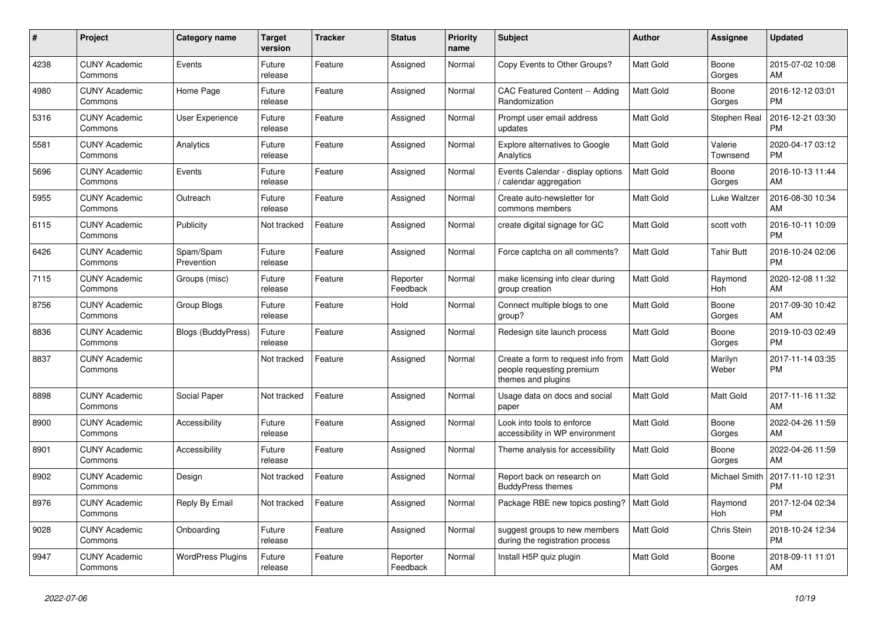| #    | <b>Project</b>                  | Category name             | <b>Target</b><br>version | <b>Tracker</b> | <b>Status</b>        | Priority<br>name | <b>Subject</b>                                                                        | <b>Author</b>    | Assignee            | <b>Updated</b>                |
|------|---------------------------------|---------------------------|--------------------------|----------------|----------------------|------------------|---------------------------------------------------------------------------------------|------------------|---------------------|-------------------------------|
| 4238 | <b>CUNY Academic</b><br>Commons | Events                    | Future<br>release        | Feature        | Assigned             | Normal           | Copy Events to Other Groups?                                                          | <b>Matt Gold</b> | Boone<br>Gorges     | 2015-07-02 10:08<br>AM        |
| 4980 | <b>CUNY Academic</b><br>Commons | Home Page                 | Future<br>release        | Feature        | Assigned             | Normal           | <b>CAC Featured Content -- Adding</b><br>Randomization                                | Matt Gold        | Boone<br>Gorges     | 2016-12-12 03:01<br><b>PM</b> |
| 5316 | <b>CUNY Academic</b><br>Commons | <b>User Experience</b>    | Future<br>release        | Feature        | Assigned             | Normal           | Prompt user email address<br>updates                                                  | Matt Gold        | Stephen Real        | 2016-12-21 03:30<br><b>PM</b> |
| 5581 | <b>CUNY Academic</b><br>Commons | Analytics                 | Future<br>release        | Feature        | Assigned             | Normal           | <b>Explore alternatives to Google</b><br>Analytics                                    | <b>Matt Gold</b> | Valerie<br>Townsend | 2020-04-17 03:12<br><b>PM</b> |
| 5696 | <b>CUNY Academic</b><br>Commons | Events                    | Future<br>release        | Feature        | Assigned             | Normal           | Events Calendar - display options<br>calendar aggregation /                           | Matt Gold        | Boone<br>Gorges     | 2016-10-13 11:44<br>AM        |
| 5955 | <b>CUNY Academic</b><br>Commons | Outreach                  | Future<br>release        | Feature        | Assigned             | Normal           | Create auto-newsletter for<br>commons members                                         | Matt Gold        | Luke Waltzer        | 2016-08-30 10:34<br>AM        |
| 6115 | <b>CUNY Academic</b><br>Commons | Publicity                 | Not tracked              | Feature        | Assigned             | Normal           | create digital signage for GC                                                         | <b>Matt Gold</b> | scott voth          | 2016-10-11 10:09<br><b>PM</b> |
| 6426 | <b>CUNY Academic</b><br>Commons | Spam/Spam<br>Prevention   | Future<br>release        | Feature        | Assigned             | Normal           | Force captcha on all comments?                                                        | <b>Matt Gold</b> | <b>Tahir Butt</b>   | 2016-10-24 02:06<br><b>PM</b> |
| 7115 | <b>CUNY Academic</b><br>Commons | Groups (misc)             | Future<br>release        | Feature        | Reporter<br>Feedback | Normal           | make licensing info clear during<br>group creation                                    | Matt Gold        | Raymond<br>Hoh      | 2020-12-08 11:32<br>AM        |
| 8756 | <b>CUNY Academic</b><br>Commons | Group Blogs               | Future<br>release        | Feature        | Hold                 | Normal           | Connect multiple blogs to one<br>group?                                               | Matt Gold        | Boone<br>Gorges     | 2017-09-30 10:42<br>AM        |
| 8836 | <b>CUNY Academic</b><br>Commons | <b>Blogs (BuddyPress)</b> | Future<br>release        | Feature        | Assigned             | Normal           | Redesign site launch process                                                          | <b>Matt Gold</b> | Boone<br>Gorges     | 2019-10-03 02:49<br><b>PM</b> |
| 8837 | <b>CUNY Academic</b><br>Commons |                           | Not tracked              | Feature        | Assigned             | Normal           | Create a form to request info from<br>people requesting premium<br>themes and plugins | <b>Matt Gold</b> | Marilyn<br>Weber    | 2017-11-14 03:35<br><b>PM</b> |
| 8898 | <b>CUNY Academic</b><br>Commons | Social Paper              | Not tracked              | Feature        | Assigned             | Normal           | Usage data on docs and social<br>paper                                                | <b>Matt Gold</b> | Matt Gold           | 2017-11-16 11:32<br>AM        |
| 8900 | <b>CUNY Academic</b><br>Commons | Accessibility             | Future<br>release        | Feature        | Assigned             | Normal           | Look into tools to enforce<br>accessibility in WP environment                         | Matt Gold        | Boone<br>Gorges     | 2022-04-26 11:59<br>AM        |
| 8901 | <b>CUNY Academic</b><br>Commons | Accessibility             | Future<br>release        | Feature        | Assigned             | Normal           | Theme analysis for accessibility                                                      | Matt Gold        | Boone<br>Gorges     | 2022-04-26 11:59<br>AM        |
| 8902 | <b>CUNY Academic</b><br>Commons | Design                    | Not tracked              | Feature        | Assigned             | Normal           | Report back on research on<br><b>BuddyPress themes</b>                                | Matt Gold        | Michael Smith       | 2017-11-10 12:31<br><b>PM</b> |
| 8976 | <b>CUNY Academic</b><br>Commons | Reply By Email            | Not tracked              | Feature        | Assigned             | Normal           | Package RBE new topics posting?                                                       | <b>Matt Gold</b> | Raymond<br>Hoh      | 2017-12-04 02:34<br><b>PM</b> |
| 9028 | <b>CUNY Academic</b><br>Commons | Onboarding                | Future<br>release        | Feature        | Assigned             | Normal           | suggest groups to new members<br>during the registration process                      | <b>Matt Gold</b> | Chris Stein         | 2018-10-24 12:34<br><b>PM</b> |
| 9947 | <b>CUNY Academic</b><br>Commons | <b>WordPress Plugins</b>  | Future<br>release        | Feature        | Reporter<br>Feedback | Normal           | Install H5P quiz plugin                                                               | Matt Gold        | Boone<br>Gorges     | 2018-09-11 11:01<br>AM        |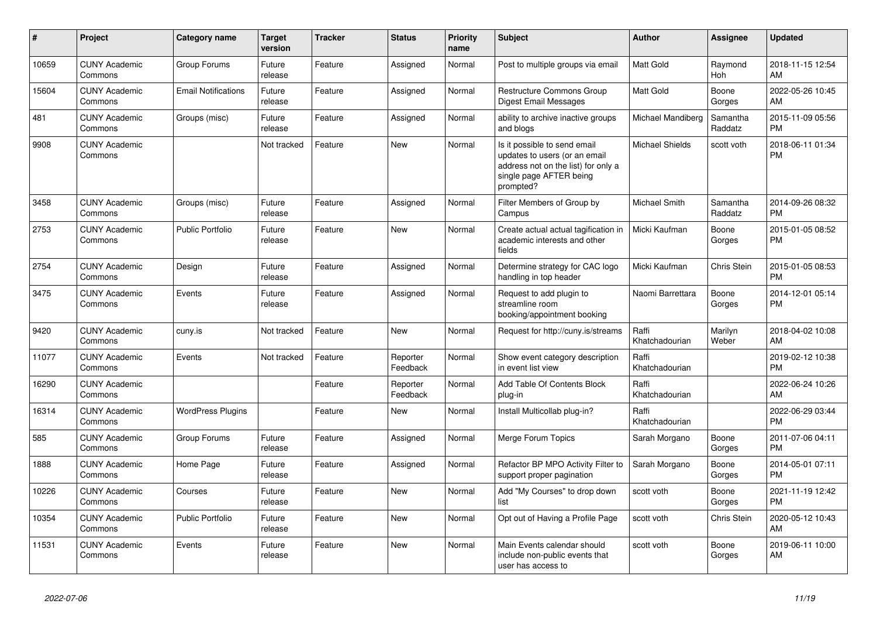| #     | <b>Project</b>                  | <b>Category name</b>       | <b>Target</b><br>version | <b>Tracker</b> | <b>Status</b>        | <b>Priority</b><br>name | <b>Subject</b>                                                                                                                               | <b>Author</b>           | Assignee            | <b>Updated</b>                |
|-------|---------------------------------|----------------------------|--------------------------|----------------|----------------------|-------------------------|----------------------------------------------------------------------------------------------------------------------------------------------|-------------------------|---------------------|-------------------------------|
| 10659 | <b>CUNY Academic</b><br>Commons | Group Forums               | Future<br>release        | Feature        | Assigned             | Normal                  | Post to multiple groups via email                                                                                                            | <b>Matt Gold</b>        | Raymond<br>Hoh      | 2018-11-15 12:54<br>AM        |
| 15604 | <b>CUNY Academic</b><br>Commons | <b>Email Notifications</b> | Future<br>release        | Feature        | Assigned             | Normal                  | <b>Restructure Commons Group</b><br><b>Digest Email Messages</b>                                                                             | <b>Matt Gold</b>        | Boone<br>Gorges     | 2022-05-26 10:45<br>AM        |
| 481   | <b>CUNY Academic</b><br>Commons | Groups (misc)              | Future<br>release        | Feature        | Assigned             | Normal                  | ability to archive inactive groups<br>and blogs                                                                                              | Michael Mandiberg       | Samantha<br>Raddatz | 2015-11-09 05:56<br><b>PM</b> |
| 9908  | <b>CUNY Academic</b><br>Commons |                            | Not tracked              | Feature        | <b>New</b>           | Normal                  | Is it possible to send email<br>updates to users (or an email<br>address not on the list) for only a<br>single page AFTER being<br>prompted? | <b>Michael Shields</b>  | scott voth          | 2018-06-11 01:34<br><b>PM</b> |
| 3458  | <b>CUNY Academic</b><br>Commons | Groups (misc)              | Future<br>release        | Feature        | Assigned             | Normal                  | Filter Members of Group by<br>Campus                                                                                                         | <b>Michael Smith</b>    | Samantha<br>Raddatz | 2014-09-26 08:32<br><b>PM</b> |
| 2753  | <b>CUNY Academic</b><br>Commons | Public Portfolio           | Future<br>release        | Feature        | New                  | Normal                  | Create actual actual tagification in<br>academic interests and other<br>fields                                                               | Micki Kaufman           | Boone<br>Gorges     | 2015-01-05 08:52<br><b>PM</b> |
| 2754  | <b>CUNY Academic</b><br>Commons | Design                     | Future<br>release        | Feature        | Assigned             | Normal                  | Determine strategy for CAC logo<br>handling in top header                                                                                    | Micki Kaufman           | Chris Stein         | 2015-01-05 08:53<br><b>PM</b> |
| 3475  | <b>CUNY Academic</b><br>Commons | Events                     | Future<br>release        | Feature        | Assigned             | Normal                  | Request to add plugin to<br>streamline room<br>booking/appointment booking                                                                   | Naomi Barrettara        | Boone<br>Gorges     | 2014-12-01 05:14<br><b>PM</b> |
| 9420  | <b>CUNY Academic</b><br>Commons | cuny.is                    | Not tracked              | Feature        | New                  | Normal                  | Request for http://cuny.is/streams                                                                                                           | Raffi<br>Khatchadourian | Marilyn<br>Weber    | 2018-04-02 10:08<br>AM        |
| 11077 | <b>CUNY Academic</b><br>Commons | Events                     | Not tracked              | Feature        | Reporter<br>Feedback | Normal                  | Show event category description<br>in event list view                                                                                        | Raffi<br>Khatchadourian |                     | 2019-02-12 10:38<br><b>PM</b> |
| 16290 | <b>CUNY Academic</b><br>Commons |                            |                          | Feature        | Reporter<br>Feedback | Normal                  | Add Table Of Contents Block<br>plug-in                                                                                                       | Raffi<br>Khatchadourian |                     | 2022-06-24 10:26<br>AM        |
| 16314 | <b>CUNY Academic</b><br>Commons | <b>WordPress Plugins</b>   |                          | Feature        | <b>New</b>           | Normal                  | Install Multicollab plug-in?                                                                                                                 | Raffi<br>Khatchadourian |                     | 2022-06-29 03:44<br><b>PM</b> |
| 585   | <b>CUNY Academic</b><br>Commons | Group Forums               | Future<br>release        | Feature        | Assigned             | Normal                  | Merge Forum Topics                                                                                                                           | Sarah Morgano           | Boone<br>Gorges     | 2011-07-06 04:11<br><b>PM</b> |
| 1888  | <b>CUNY Academic</b><br>Commons | Home Page                  | Future<br>release        | Feature        | Assigned             | Normal                  | Refactor BP MPO Activity Filter to<br>support proper pagination                                                                              | Sarah Morgano           | Boone<br>Gorges     | 2014-05-01 07:11<br><b>PM</b> |
| 10226 | <b>CUNY Academic</b><br>Commons | Courses                    | Future<br>release        | Feature        | <b>New</b>           | Normal                  | Add "My Courses" to drop down<br>list                                                                                                        | scott voth              | Boone<br>Gorges     | 2021-11-19 12:42<br><b>PM</b> |
| 10354 | <b>CUNY Academic</b><br>Commons | <b>Public Portfolio</b>    | Future<br>release        | Feature        | New                  | Normal                  | Opt out of Having a Profile Page                                                                                                             | scott voth              | Chris Stein         | 2020-05-12 10:43<br>AM        |
| 11531 | <b>CUNY Academic</b><br>Commons | Events                     | Future<br>release        | Feature        | <b>New</b>           | Normal                  | Main Events calendar should<br>include non-public events that<br>user has access to                                                          | scott voth              | Boone<br>Gorges     | 2019-06-11 10:00<br>AM        |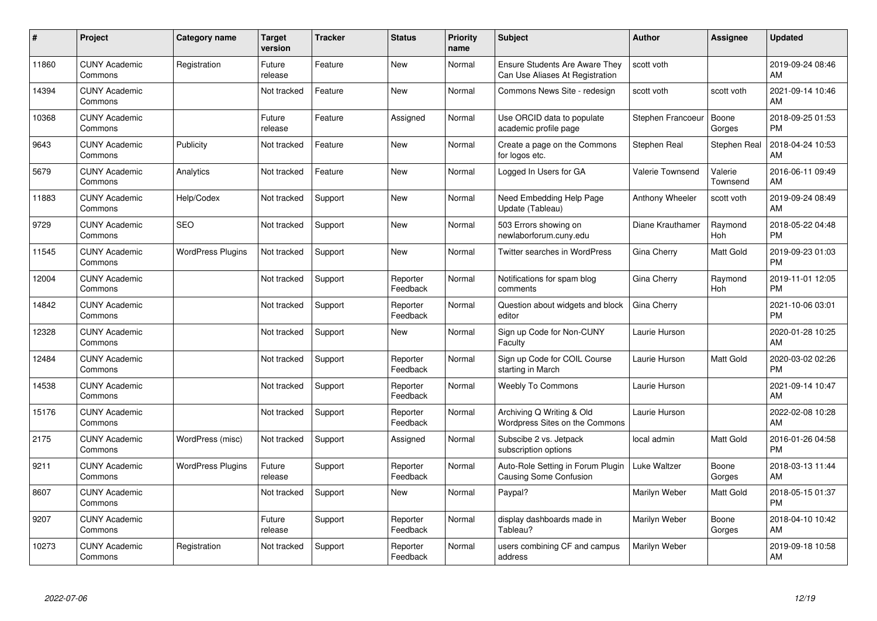| #     | <b>Project</b>                  | <b>Category name</b>     | <b>Target</b><br>version | <b>Tracker</b> | <b>Status</b>        | Priority<br>name | <b>Subject</b>                                                           | <b>Author</b>           | <b>Assignee</b>     | <b>Updated</b>                |
|-------|---------------------------------|--------------------------|--------------------------|----------------|----------------------|------------------|--------------------------------------------------------------------------|-------------------------|---------------------|-------------------------------|
| 11860 | <b>CUNY Academic</b><br>Commons | Registration             | Future<br>release        | Feature        | <b>New</b>           | Normal           | <b>Ensure Students Are Aware They</b><br>Can Use Aliases At Registration | scott voth              |                     | 2019-09-24 08:46<br>AM        |
| 14394 | <b>CUNY Academic</b><br>Commons |                          | Not tracked              | Feature        | New                  | Normal           | Commons News Site - redesign                                             | scott voth              | scott voth          | 2021-09-14 10:46<br>AM        |
| 10368 | <b>CUNY Academic</b><br>Commons |                          | Future<br>release        | Feature        | Assigned             | Normal           | Use ORCID data to populate<br>academic profile page                      | Stephen Francoeur       | Boone<br>Gorges     | 2018-09-25 01:53<br><b>PM</b> |
| 9643  | <b>CUNY Academic</b><br>Commons | Publicity                | Not tracked              | Feature        | New                  | Normal           | Create a page on the Commons<br>for logos etc.                           | Stephen Real            | Stephen Real        | 2018-04-24 10:53<br>AM        |
| 5679  | <b>CUNY Academic</b><br>Commons | Analytics                | Not tracked              | Feature        | <b>New</b>           | Normal           | Logged In Users for GA                                                   | <b>Valerie Townsend</b> | Valerie<br>Townsend | 2016-06-11 09:49<br>AM        |
| 11883 | <b>CUNY Academic</b><br>Commons | Help/Codex               | Not tracked              | Support        | <b>New</b>           | Normal           | Need Embedding Help Page<br>Update (Tableau)                             | Anthony Wheeler         | scott voth          | 2019-09-24 08:49<br>AM        |
| 9729  | <b>CUNY Academic</b><br>Commons | SEO                      | Not tracked              | Support        | New                  | Normal           | 503 Errors showing on<br>newlaborforum.cuny.edu                          | Diane Krauthamer        | Raymond<br>Hoh      | 2018-05-22 04:48<br><b>PM</b> |
| 11545 | <b>CUNY Academic</b><br>Commons | <b>WordPress Plugins</b> | Not tracked              | Support        | <b>New</b>           | Normal           | Twitter searches in WordPress                                            | Gina Cherry             | Matt Gold           | 2019-09-23 01:03<br><b>PM</b> |
| 12004 | <b>CUNY Academic</b><br>Commons |                          | Not tracked              | Support        | Reporter<br>Feedback | Normal           | Notifications for spam blog<br>comments                                  | Gina Cherry             | Raymond<br>Hoh      | 2019-11-01 12:05<br><b>PM</b> |
| 14842 | <b>CUNY Academic</b><br>Commons |                          | Not tracked              | Support        | Reporter<br>Feedback | Normal           | Question about widgets and block<br>editor                               | Gina Cherry             |                     | 2021-10-06 03:01<br><b>PM</b> |
| 12328 | <b>CUNY Academic</b><br>Commons |                          | Not tracked              | Support        | New                  | Normal           | Sign up Code for Non-CUNY<br>Faculty                                     | Laurie Hurson           |                     | 2020-01-28 10:25<br>AM        |
| 12484 | <b>CUNY Academic</b><br>Commons |                          | Not tracked              | Support        | Reporter<br>Feedback | Normal           | Sign up Code for COIL Course<br>starting in March                        | Laurie Hurson           | Matt Gold           | 2020-03-02 02:26<br><b>PM</b> |
| 14538 | <b>CUNY Academic</b><br>Commons |                          | Not tracked              | Support        | Reporter<br>Feedback | Normal           | <b>Weebly To Commons</b>                                                 | Laurie Hurson           |                     | 2021-09-14 10:47<br>AM        |
| 15176 | <b>CUNY Academic</b><br>Commons |                          | Not tracked              | Support        | Reporter<br>Feedback | Normal           | Archiving Q Writing & Old<br>Wordpress Sites on the Commons              | Laurie Hurson           |                     | 2022-02-08 10:28<br>AM        |
| 2175  | <b>CUNY Academic</b><br>Commons | WordPress (misc)         | Not tracked              | Support        | Assigned             | Normal           | Subscibe 2 vs. Jetpack<br>subscription options                           | local admin             | Matt Gold           | 2016-01-26 04:58<br><b>PM</b> |
| 9211  | <b>CUNY Academic</b><br>Commons | <b>WordPress Plugins</b> | Future<br>release        | Support        | Reporter<br>Feedback | Normal           | Auto-Role Setting in Forum Plugin<br>Causing Some Confusion              | Luke Waltzer            | Boone<br>Gorges     | 2018-03-13 11:44<br>AM        |
| 8607  | <b>CUNY Academic</b><br>Commons |                          | Not tracked              | Support        | New                  | Normal           | Paypal?                                                                  | Marilyn Weber           | Matt Gold           | 2018-05-15 01:37<br><b>PM</b> |
| 9207  | <b>CUNY Academic</b><br>Commons |                          | Future<br>release        | Support        | Reporter<br>Feedback | Normal           | display dashboards made in<br>Tableau?                                   | Marilyn Weber           | Boone<br>Gorges     | 2018-04-10 10:42<br>AM        |
| 10273 | <b>CUNY Academic</b><br>Commons | Registration             | Not tracked              | Support        | Reporter<br>Feedback | Normal           | users combining CF and campus<br>address                                 | Marilyn Weber           |                     | 2019-09-18 10:58<br>AM        |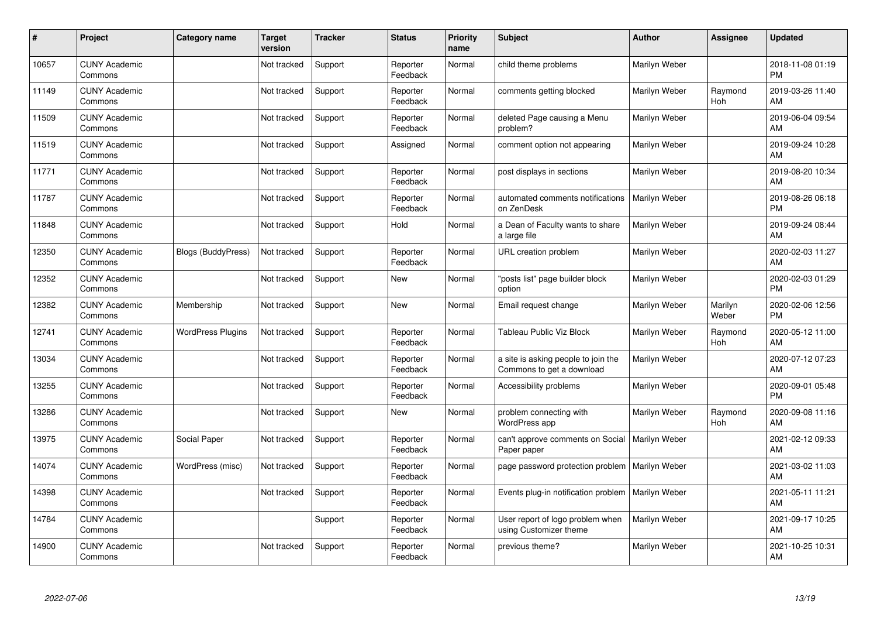| #     | Project                         | Category name             | <b>Target</b><br>version | <b>Tracker</b> | <b>Status</b>        | Priority<br>name | <b>Subject</b>                                                   | <b>Author</b> | <b>Assignee</b>  | <b>Updated</b>                |
|-------|---------------------------------|---------------------------|--------------------------|----------------|----------------------|------------------|------------------------------------------------------------------|---------------|------------------|-------------------------------|
| 10657 | <b>CUNY Academic</b><br>Commons |                           | Not tracked              | Support        | Reporter<br>Feedback | Normal           | child theme problems                                             | Marilyn Weber |                  | 2018-11-08 01:19<br><b>PM</b> |
| 11149 | <b>CUNY Academic</b><br>Commons |                           | Not tracked              | Support        | Reporter<br>Feedback | Normal           | comments getting blocked                                         | Marilyn Weber | Raymond<br>Hoh   | 2019-03-26 11:40<br>AM        |
| 11509 | <b>CUNY Academic</b><br>Commons |                           | Not tracked              | Support        | Reporter<br>Feedback | Normal           | deleted Page causing a Menu<br>problem?                          | Marilyn Weber |                  | 2019-06-04 09:54<br>AM        |
| 11519 | <b>CUNY Academic</b><br>Commons |                           | Not tracked              | Support        | Assigned             | Normal           | comment option not appearing                                     | Marilyn Weber |                  | 2019-09-24 10:28<br>AM        |
| 11771 | <b>CUNY Academic</b><br>Commons |                           | Not tracked              | Support        | Reporter<br>Feedback | Normal           | post displays in sections                                        | Marilyn Weber |                  | 2019-08-20 10:34<br>AM        |
| 11787 | <b>CUNY Academic</b><br>Commons |                           | Not tracked              | Support        | Reporter<br>Feedback | Normal           | automated comments notifications<br>on ZenDesk                   | Marilyn Weber |                  | 2019-08-26 06:18<br><b>PM</b> |
| 11848 | <b>CUNY Academic</b><br>Commons |                           | Not tracked              | Support        | Hold                 | Normal           | a Dean of Faculty wants to share<br>a large file                 | Marilyn Weber |                  | 2019-09-24 08:44<br>AM        |
| 12350 | <b>CUNY Academic</b><br>Commons | <b>Blogs (BuddyPress)</b> | Not tracked              | Support        | Reporter<br>Feedback | Normal           | URL creation problem                                             | Marilyn Weber |                  | 2020-02-03 11:27<br>AM        |
| 12352 | <b>CUNY Academic</b><br>Commons |                           | Not tracked              | Support        | New                  | Normal           | "posts list" page builder block<br>option                        | Marilyn Weber |                  | 2020-02-03 01:29<br><b>PM</b> |
| 12382 | <b>CUNY Academic</b><br>Commons | Membership                | Not tracked              | Support        | New                  | Normal           | Email request change                                             | Marilyn Weber | Marilyn<br>Weber | 2020-02-06 12:56<br><b>PM</b> |
| 12741 | <b>CUNY Academic</b><br>Commons | <b>WordPress Plugins</b>  | Not tracked              | Support        | Reporter<br>Feedback | Normal           | Tableau Public Viz Block                                         | Marilyn Weber | Raymond<br>Hoh   | 2020-05-12 11:00<br>AM        |
| 13034 | <b>CUNY Academic</b><br>Commons |                           | Not tracked              | Support        | Reporter<br>Feedback | Normal           | a site is asking people to join the<br>Commons to get a download | Marilyn Weber |                  | 2020-07-12 07:23<br>AM        |
| 13255 | <b>CUNY Academic</b><br>Commons |                           | Not tracked              | Support        | Reporter<br>Feedback | Normal           | Accessibility problems                                           | Marilyn Weber |                  | 2020-09-01 05:48<br><b>PM</b> |
| 13286 | <b>CUNY Academic</b><br>Commons |                           | Not tracked              | Support        | New                  | Normal           | problem connecting with<br><b>WordPress app</b>                  | Marilyn Weber | Raymond<br>Hoh   | 2020-09-08 11:16<br>AM        |
| 13975 | <b>CUNY Academic</b><br>Commons | Social Paper              | Not tracked              | Support        | Reporter<br>Feedback | Normal           | can't approve comments on Social<br>Paper paper                  | Marilyn Weber |                  | 2021-02-12 09:33<br>AM        |
| 14074 | <b>CUNY Academic</b><br>Commons | WordPress (misc)          | Not tracked              | Support        | Reporter<br>Feedback | Normal           | page password protection problem                                 | Marilyn Weber |                  | 2021-03-02 11:03<br>AM        |
| 14398 | <b>CUNY Academic</b><br>Commons |                           | Not tracked              | Support        | Reporter<br>Feedback | Normal           | Events plug-in notification problem   Marilyn Weber              |               |                  | 2021-05-11 11:21<br>AM        |
| 14784 | <b>CUNY Academic</b><br>Commons |                           |                          | Support        | Reporter<br>Feedback | Normal           | User report of logo problem when<br>using Customizer theme       | Marilyn Weber |                  | 2021-09-17 10:25<br>AM        |
| 14900 | <b>CUNY Academic</b><br>Commons |                           | Not tracked              | Support        | Reporter<br>Feedback | Normal           | previous theme?                                                  | Marilyn Weber |                  | 2021-10-25 10:31<br>AM        |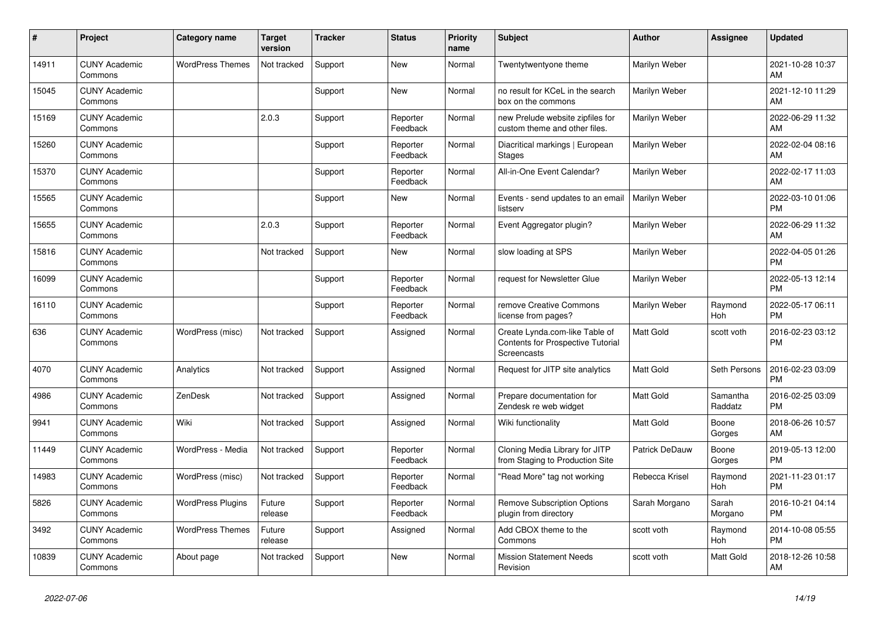| #     | Project                         | <b>Category name</b>     | <b>Target</b><br>version | <b>Tracker</b> | <b>Status</b>        | <b>Priority</b><br>name | <b>Subject</b>                                                                     | <b>Author</b>    | Assignee            | <b>Updated</b>                |
|-------|---------------------------------|--------------------------|--------------------------|----------------|----------------------|-------------------------|------------------------------------------------------------------------------------|------------------|---------------------|-------------------------------|
| 14911 | <b>CUNY Academic</b><br>Commons | <b>WordPress Themes</b>  | Not tracked              | Support        | New                  | Normal                  | Twentytwentyone theme                                                              | Marilyn Weber    |                     | 2021-10-28 10:37<br>AM        |
| 15045 | <b>CUNY Academic</b><br>Commons |                          |                          | Support        | New                  | Normal                  | no result for KCeL in the search<br>box on the commons                             | Marilyn Weber    |                     | 2021-12-10 11:29<br>AM        |
| 15169 | <b>CUNY Academic</b><br>Commons |                          | 2.0.3                    | Support        | Reporter<br>Feedback | Normal                  | new Prelude website zipfiles for<br>custom theme and other files.                  | Marilyn Weber    |                     | 2022-06-29 11:32<br><b>AM</b> |
| 15260 | <b>CUNY Academic</b><br>Commons |                          |                          | Support        | Reporter<br>Feedback | Normal                  | Diacritical markings   European<br>Stages                                          | Marilyn Weber    |                     | 2022-02-04 08:16<br>AM        |
| 15370 | <b>CUNY Academic</b><br>Commons |                          |                          | Support        | Reporter<br>Feedback | Normal                  | All-in-One Event Calendar?                                                         | Marilyn Weber    |                     | 2022-02-17 11:03<br><b>AM</b> |
| 15565 | <b>CUNY Academic</b><br>Commons |                          |                          | Support        | New                  | Normal                  | Events - send updates to an email<br>listserv                                      | Marilyn Weber    |                     | 2022-03-10 01:06<br><b>PM</b> |
| 15655 | <b>CUNY Academic</b><br>Commons |                          | 2.0.3                    | Support        | Reporter<br>Feedback | Normal                  | Event Aggregator plugin?                                                           | Marilyn Weber    |                     | 2022-06-29 11:32<br>AM        |
| 15816 | <b>CUNY Academic</b><br>Commons |                          | Not tracked              | Support        | <b>New</b>           | Normal                  | slow loading at SPS                                                                | Marilyn Weber    |                     | 2022-04-05 01:26<br><b>PM</b> |
| 16099 | <b>CUNY Academic</b><br>Commons |                          |                          | Support        | Reporter<br>Feedback | Normal                  | request for Newsletter Glue                                                        | Marilyn Weber    |                     | 2022-05-13 12:14<br><b>PM</b> |
| 16110 | <b>CUNY Academic</b><br>Commons |                          |                          | Support        | Reporter<br>Feedback | Normal                  | remove Creative Commons<br>license from pages?                                     | Marilyn Weber    | Raymond<br>Hoh      | 2022-05-17 06:11<br><b>PM</b> |
| 636   | <b>CUNY Academic</b><br>Commons | WordPress (misc)         | Not tracked              | Support        | Assigned             | Normal                  | Create Lynda.com-like Table of<br>Contents for Prospective Tutorial<br>Screencasts | <b>Matt Gold</b> | scott voth          | 2016-02-23 03:12<br><b>PM</b> |
| 4070  | <b>CUNY Academic</b><br>Commons | Analytics                | Not tracked              | Support        | Assigned             | Normal                  | Request for JITP site analytics                                                    | <b>Matt Gold</b> | Seth Persons        | 2016-02-23 03:09<br><b>PM</b> |
| 4986  | <b>CUNY Academic</b><br>Commons | ZenDesk                  | Not tracked              | Support        | Assigned             | Normal                  | Prepare documentation for<br>Zendesk re web widget                                 | <b>Matt Gold</b> | Samantha<br>Raddatz | 2016-02-25 03:09<br><b>PM</b> |
| 9941  | <b>CUNY Academic</b><br>Commons | Wiki                     | Not tracked              | Support        | Assigned             | Normal                  | Wiki functionality                                                                 | Matt Gold        | Boone<br>Gorges     | 2018-06-26 10:57<br>AM        |
| 11449 | <b>CUNY Academic</b><br>Commons | WordPress - Media        | Not tracked              | Support        | Reporter<br>Feedback | Normal                  | Cloning Media Library for JITP<br>from Staging to Production Site                  | Patrick DeDauw   | Boone<br>Gorges     | 2019-05-13 12:00<br><b>PM</b> |
| 14983 | <b>CUNY Academic</b><br>Commons | WordPress (misc)         | Not tracked              | Support        | Reporter<br>Feedback | Normal                  | "Read More" tag not working                                                        | Rebecca Krisel   | Raymond<br>Hoh      | 2021-11-23 01:17<br><b>PM</b> |
| 5826  | <b>CUNY Academic</b><br>Commons | <b>WordPress Plugins</b> | Future<br>release        | Support        | Reporter<br>Feedback | Normal                  | <b>Remove Subscription Options</b><br>plugin from directory                        | Sarah Morgano    | Sarah<br>Morgano    | 2016-10-21 04:14<br><b>PM</b> |
| 3492  | <b>CUNY Academic</b><br>Commons | <b>WordPress Themes</b>  | Future<br>release        | Support        | Assigned             | Normal                  | Add CBOX theme to the<br>Commons                                                   | scott voth       | Raymond<br>Hoh      | 2014-10-08 05:55<br><b>PM</b> |
| 10839 | <b>CUNY Academic</b><br>Commons | About page               | Not tracked              | Support        | <b>New</b>           | Normal                  | <b>Mission Statement Needs</b><br>Revision                                         | scott voth       | Matt Gold           | 2018-12-26 10:58<br>AM        |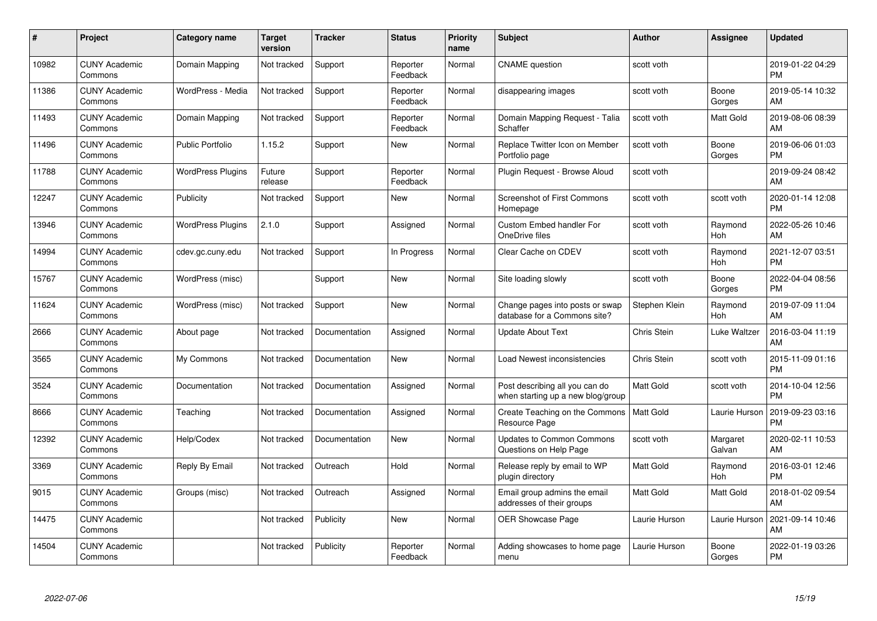| #     | Project                         | <b>Category name</b>     | <b>Target</b><br>version | <b>Tracker</b> | <b>Status</b>        | <b>Priority</b><br>name | <b>Subject</b>                                                      | <b>Author</b>    | <b>Assignee</b>       | <b>Updated</b>                |
|-------|---------------------------------|--------------------------|--------------------------|----------------|----------------------|-------------------------|---------------------------------------------------------------------|------------------|-----------------------|-------------------------------|
| 10982 | <b>CUNY Academic</b><br>Commons | Domain Mapping           | Not tracked              | Support        | Reporter<br>Feedback | Normal                  | <b>CNAME</b> question                                               | scott voth       |                       | 2019-01-22 04:29<br><b>PM</b> |
| 11386 | <b>CUNY Academic</b><br>Commons | WordPress - Media        | Not tracked              | Support        | Reporter<br>Feedback | Normal                  | disappearing images                                                 | scott voth       | Boone<br>Gorges       | 2019-05-14 10:32<br>AM        |
| 11493 | <b>CUNY Academic</b><br>Commons | Domain Mapping           | Not tracked              | Support        | Reporter<br>Feedback | Normal                  | Domain Mapping Request - Talia<br>Schaffer                          | scott voth       | Matt Gold             | 2019-08-06 08:39<br>AM        |
| 11496 | <b>CUNY Academic</b><br>Commons | <b>Public Portfolio</b>  | 1.15.2                   | Support        | New                  | Normal                  | Replace Twitter Icon on Member<br>Portfolio page                    | scott voth       | Boone<br>Gorges       | 2019-06-06 01:03<br><b>PM</b> |
| 11788 | <b>CUNY Academic</b><br>Commons | <b>WordPress Plugins</b> | Future<br>release        | Support        | Reporter<br>Feedback | Normal                  | Plugin Request - Browse Aloud                                       | scott voth       |                       | 2019-09-24 08:42<br>AM        |
| 12247 | <b>CUNY Academic</b><br>Commons | Publicity                | Not tracked              | Support        | New                  | Normal                  | <b>Screenshot of First Commons</b><br>Homepage                      | scott voth       | scott voth            | 2020-01-14 12:08<br><b>PM</b> |
| 13946 | <b>CUNY Academic</b><br>Commons | <b>WordPress Plugins</b> | 2.1.0                    | Support        | Assigned             | Normal                  | <b>Custom Embed handler For</b><br>OneDrive files                   | scott voth       | Raymond<br>Hoh        | 2022-05-26 10:46<br>AM        |
| 14994 | <b>CUNY Academic</b><br>Commons | cdev.gc.cuny.edu         | Not tracked              | Support        | In Progress          | Normal                  | Clear Cache on CDEV                                                 | scott voth       | Raymond<br>Hoh        | 2021-12-07 03:51<br><b>PM</b> |
| 15767 | <b>CUNY Academic</b><br>Commons | WordPress (misc)         |                          | Support        | <b>New</b>           | Normal                  | Site loading slowly                                                 | scott voth       | Boone<br>Gorges       | 2022-04-04 08:56<br><b>PM</b> |
| 11624 | <b>CUNY Academic</b><br>Commons | WordPress (misc)         | Not tracked              | Support        | New                  | Normal                  | Change pages into posts or swap<br>database for a Commons site?     | Stephen Klein    | Raymond<br>Hoh        | 2019-07-09 11:04<br>AM        |
| 2666  | <b>CUNY Academic</b><br>Commons | About page               | Not tracked              | Documentation  | Assigned             | Normal                  | <b>Update About Text</b>                                            | Chris Stein      | Luke Waltzer          | 2016-03-04 11:19<br>AM        |
| 3565  | <b>CUNY Academic</b><br>Commons | My Commons               | Not tracked              | Documentation  | New                  | Normal                  | Load Newest inconsistencies                                         | Chris Stein      | scott voth            | 2015-11-09 01:16<br><b>PM</b> |
| 3524  | <b>CUNY Academic</b><br>Commons | Documentation            | Not tracked              | Documentation  | Assigned             | Normal                  | Post describing all you can do<br>when starting up a new blog/group | <b>Matt Gold</b> | scott voth            | 2014-10-04 12:56<br><b>PM</b> |
| 8666  | <b>CUNY Academic</b><br>Commons | Teaching                 | Not tracked              | Documentation  | Assigned             | Normal                  | Create Teaching on the Commons<br>Resource Page                     | <b>Matt Gold</b> | Laurie Hurson         | 2019-09-23 03:16<br><b>PM</b> |
| 12392 | <b>CUNY Academic</b><br>Commons | Help/Codex               | Not tracked              | Documentation  | <b>New</b>           | Normal                  | Updates to Common Commons<br>Questions on Help Page                 | scott voth       | Margaret<br>Galvan    | 2020-02-11 10:53<br>AM        |
| 3369  | <b>CUNY Academic</b><br>Commons | Reply By Email           | Not tracked              | Outreach       | Hold                 | Normal                  | Release reply by email to WP<br>plugin directory                    | <b>Matt Gold</b> | Raymond<br><b>Hoh</b> | 2016-03-01 12:46<br><b>PM</b> |
| 9015  | <b>CUNY Academic</b><br>Commons | Groups (misc)            | Not tracked              | Outreach       | Assigned             | Normal                  | Email group admins the email<br>addresses of their groups           | <b>Matt Gold</b> | Matt Gold             | 2018-01-02 09:54<br>AM        |
| 14475 | <b>CUNY Academic</b><br>Commons |                          | Not tracked              | Publicity      | New                  | Normal                  | <b>OER Showcase Page</b>                                            | Laurie Hurson    | Laurie Hurson         | 2021-09-14 10:46<br>AM        |
| 14504 | CUNY Academic<br>Commons        |                          | Not tracked              | Publicity      | Reporter<br>Feedback | Normal                  | Adding showcases to home page<br>menu                               | Laurie Hurson    | Boone<br>Gorges       | 2022-01-19 03:26<br><b>PM</b> |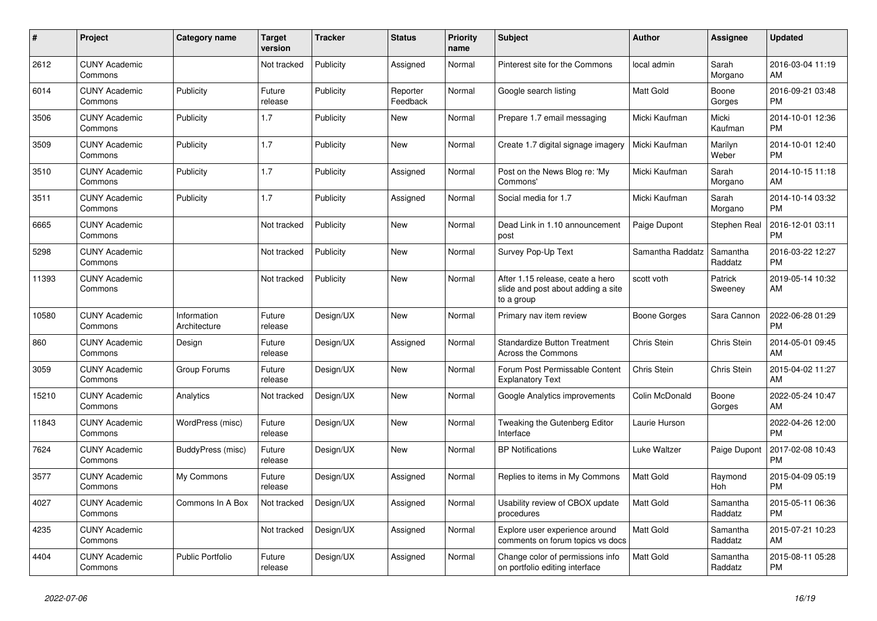| #     | Project                         | Category name               | Target<br>version | <b>Tracker</b> | <b>Status</b>        | Priority<br>name | <b>Subject</b>                                                                       | <b>Author</b>    | <b>Assignee</b>     | <b>Updated</b>                |
|-------|---------------------------------|-----------------------------|-------------------|----------------|----------------------|------------------|--------------------------------------------------------------------------------------|------------------|---------------------|-------------------------------|
| 2612  | <b>CUNY Academic</b><br>Commons |                             | Not tracked       | Publicity      | Assigned             | Normal           | Pinterest site for the Commons                                                       | local admin      | Sarah<br>Morgano    | 2016-03-04 11:19<br>AM        |
| 6014  | <b>CUNY Academic</b><br>Commons | Publicity                   | Future<br>release | Publicity      | Reporter<br>Feedback | Normal           | Google search listing                                                                | <b>Matt Gold</b> | Boone<br>Gorges     | 2016-09-21 03:48<br><b>PM</b> |
| 3506  | <b>CUNY Academic</b><br>Commons | Publicity                   | 1.7               | Publicity      | <b>New</b>           | Normal           | Prepare 1.7 email messaging                                                          | Micki Kaufman    | Micki<br>Kaufman    | 2014-10-01 12:36<br><b>PM</b> |
| 3509  | <b>CUNY Academic</b><br>Commons | Publicity                   | 1.7               | Publicity      | <b>New</b>           | Normal           | Create 1.7 digital signage imagery                                                   | Micki Kaufman    | Marilyn<br>Weber    | 2014-10-01 12:40<br><b>PM</b> |
| 3510  | <b>CUNY Academic</b><br>Commons | Publicity                   | 1.7               | Publicity      | Assigned             | Normal           | Post on the News Blog re: 'My<br>Commons'                                            | Micki Kaufman    | Sarah<br>Morgano    | 2014-10-15 11:18<br>AM        |
| 3511  | <b>CUNY Academic</b><br>Commons | Publicity                   | 1.7               | Publicity      | Assigned             | Normal           | Social media for 1.7                                                                 | Micki Kaufman    | Sarah<br>Morgano    | 2014-10-14 03:32<br><b>PM</b> |
| 6665  | <b>CUNY Academic</b><br>Commons |                             | Not tracked       | Publicity      | <b>New</b>           | Normal           | Dead Link in 1.10 announcement<br>post                                               | Paige Dupont     | Stephen Real        | 2016-12-01 03:11<br><b>PM</b> |
| 5298  | <b>CUNY Academic</b><br>Commons |                             | Not tracked       | Publicity      | <b>New</b>           | Normal           | Survey Pop-Up Text                                                                   | Samantha Raddatz | Samantha<br>Raddatz | 2016-03-22 12:27<br><b>PM</b> |
| 11393 | <b>CUNY Academic</b><br>Commons |                             | Not tracked       | Publicity      | New                  | Normal           | After 1.15 release, ceate a hero<br>slide and post about adding a site<br>to a group | scott voth       | Patrick<br>Sweeney  | 2019-05-14 10:32<br>AM        |
| 10580 | <b>CUNY Academic</b><br>Commons | Information<br>Architecture | Future<br>release | Design/UX      | <b>New</b>           | Normal           | Primary nav item review                                                              | Boone Gorges     | Sara Cannon         | 2022-06-28 01:29<br><b>PM</b> |
| 860   | <b>CUNY Academic</b><br>Commons | Design                      | Future<br>release | Design/UX      | Assigned             | Normal           | <b>Standardize Button Treatment</b><br><b>Across the Commons</b>                     | Chris Stein      | Chris Stein         | 2014-05-01 09:45<br>AM        |
| 3059  | <b>CUNY Academic</b><br>Commons | Group Forums                | Future<br>release | Design/UX      | <b>New</b>           | Normal           | Forum Post Permissable Content<br><b>Explanatory Text</b>                            | Chris Stein      | Chris Stein         | 2015-04-02 11:27<br>AM        |
| 15210 | <b>CUNY Academic</b><br>Commons | Analytics                   | Not tracked       | Design/UX      | <b>New</b>           | Normal           | Google Analytics improvements                                                        | Colin McDonald   | Boone<br>Gorges     | 2022-05-24 10:47<br>AM        |
| 11843 | <b>CUNY Academic</b><br>Commons | WordPress (misc)            | Future<br>release | Design/UX      | New                  | Normal           | Tweaking the Gutenberg Editor<br>Interface                                           | Laurie Hurson    |                     | 2022-04-26 12:00<br><b>PM</b> |
| 7624  | <b>CUNY Academic</b><br>Commons | BuddyPress (misc)           | Future<br>release | Design/UX      | <b>New</b>           | Normal           | <b>BP Notifications</b>                                                              | Luke Waltzer     | Paige Dupont        | 2017-02-08 10:43<br><b>PM</b> |
| 3577  | <b>CUNY Academic</b><br>Commons | My Commons                  | Future<br>release | Design/UX      | Assigned             | Normal           | Replies to items in My Commons                                                       | <b>Matt Gold</b> | Raymond<br>Hoh      | 2015-04-09 05:19<br><b>PM</b> |
| 4027  | <b>CUNY Academic</b><br>Commons | Commons In A Box            | Not tracked       | Design/UX      | Assigned             | Normal           | Usability review of CBOX update<br>procedures                                        | <b>Matt Gold</b> | Samantha<br>Raddatz | 2015-05-11 06:36<br><b>PM</b> |
| 4235  | <b>CUNY Academic</b><br>Commons |                             | Not tracked       | Design/UX      | Assigned             | Normal           | Explore user experience around<br>comments on forum topics vs docs                   | <b>Matt Gold</b> | Samantha<br>Raddatz | 2015-07-21 10:23<br>AM        |
| 4404  | <b>CUNY Academic</b><br>Commons | Public Portfolio            | Future<br>release | Design/UX      | Assigned             | Normal           | Change color of permissions info<br>on portfolio editing interface                   | <b>Matt Gold</b> | Samantha<br>Raddatz | 2015-08-11 05:28<br><b>PM</b> |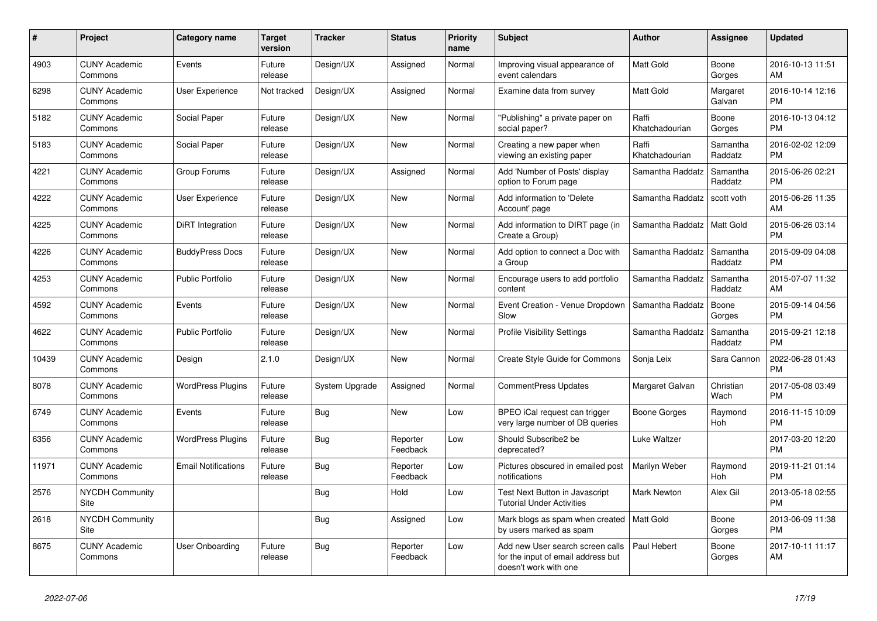| $\#$  | Project                         | <b>Category name</b>       | <b>Target</b><br>version | <b>Tracker</b> | <b>Status</b>        | <b>Priority</b><br>name | <b>Subject</b>                                                                                  | <b>Author</b>           | <b>Assignee</b>     | <b>Updated</b>                |
|-------|---------------------------------|----------------------------|--------------------------|----------------|----------------------|-------------------------|-------------------------------------------------------------------------------------------------|-------------------------|---------------------|-------------------------------|
| 4903  | <b>CUNY Academic</b><br>Commons | Events                     | Future<br>release        | Design/UX      | Assigned             | Normal                  | Improving visual appearance of<br>event calendars                                               | <b>Matt Gold</b>        | Boone<br>Gorges     | 2016-10-13 11:51<br>AM        |
| 6298  | <b>CUNY Academic</b><br>Commons | User Experience            | Not tracked              | Design/UX      | Assigned             | Normal                  | Examine data from survey                                                                        | <b>Matt Gold</b>        | Margaret<br>Galvan  | 2016-10-14 12:16<br><b>PM</b> |
| 5182  | <b>CUNY Academic</b><br>Commons | Social Paper               | Future<br>release        | Design/UX      | <b>New</b>           | Normal                  | "Publishing" a private paper on<br>social paper?                                                | Raffi<br>Khatchadourian | Boone<br>Gorges     | 2016-10-13 04:12<br><b>PM</b> |
| 5183  | <b>CUNY Academic</b><br>Commons | Social Paper               | Future<br>release        | Design/UX      | <b>New</b>           | Normal                  | Creating a new paper when<br>viewing an existing paper                                          | Raffi<br>Khatchadourian | Samantha<br>Raddatz | 2016-02-02 12:09<br><b>PM</b> |
| 4221  | <b>CUNY Academic</b><br>Commons | Group Forums               | Future<br>release        | Design/UX      | Assigned             | Normal                  | Add 'Number of Posts' display<br>option to Forum page                                           | Samantha Raddatz        | Samantha<br>Raddatz | 2015-06-26 02:21<br><b>PM</b> |
| 4222  | <b>CUNY Academic</b><br>Commons | User Experience            | Future<br>release        | Design/UX      | New                  | Normal                  | Add information to 'Delete<br>Account' page                                                     | Samantha Raddatz        | scott voth          | 2015-06-26 11:35<br>AM        |
| 4225  | <b>CUNY Academic</b><br>Commons | DiRT Integration           | Future<br>release        | Design/UX      | <b>New</b>           | Normal                  | Add information to DIRT page (in<br>Create a Group)                                             | Samantha Raddatz        | Matt Gold           | 2015-06-26 03:14<br><b>PM</b> |
| 4226  | <b>CUNY Academic</b><br>Commons | <b>BuddyPress Docs</b>     | Future<br>release        | Design/UX      | <b>New</b>           | Normal                  | Add option to connect a Doc with<br>a Group                                                     | Samantha Raddatz        | Samantha<br>Raddatz | 2015-09-09 04:08<br><b>PM</b> |
| 4253  | <b>CUNY Academic</b><br>Commons | Public Portfolio           | Future<br>release        | Design/UX      | New                  | Normal                  | Encourage users to add portfolio<br>content                                                     | Samantha Raddatz        | Samantha<br>Raddatz | 2015-07-07 11:32<br>AM        |
| 4592  | <b>CUNY Academic</b><br>Commons | Events                     | Future<br>release        | Design/UX      | <b>New</b>           | Normal                  | Event Creation - Venue Dropdown<br>Slow                                                         | Samantha Raddatz        | Boone<br>Gorges     | 2015-09-14 04:56<br><b>PM</b> |
| 4622  | <b>CUNY Academic</b><br>Commons | <b>Public Portfolio</b>    | Future<br>release        | Design/UX      | New                  | Normal                  | <b>Profile Visibility Settings</b>                                                              | Samantha Raddatz        | Samantha<br>Raddatz | 2015-09-21 12:18<br><b>PM</b> |
| 10439 | <b>CUNY Academic</b><br>Commons | Design                     | 2.1.0                    | Design/UX      | New                  | Normal                  | Create Style Guide for Commons                                                                  | Sonja Leix              | Sara Cannon         | 2022-06-28 01:43<br><b>PM</b> |
| 8078  | <b>CUNY Academic</b><br>Commons | <b>WordPress Plugins</b>   | Future<br>release        | System Upgrade | Assigned             | Normal                  | CommentPress Updates                                                                            | Margaret Galvan         | Christian<br>Wach   | 2017-05-08 03:49<br><b>PM</b> |
| 6749  | <b>CUNY Academic</b><br>Commons | Events                     | Future<br>release        | Bug            | <b>New</b>           | Low                     | BPEO iCal request can trigger<br>very large number of DB queries                                | Boone Gorges            | Raymond<br>Hoh      | 2016-11-15 10:09<br><b>PM</b> |
| 6356  | <b>CUNY Academic</b><br>Commons | <b>WordPress Plugins</b>   | Future<br>release        | <b>Bug</b>     | Reporter<br>Feedback | Low                     | Should Subscribe2 be<br>deprecated?                                                             | Luke Waltzer            |                     | 2017-03-20 12:20<br><b>PM</b> |
| 11971 | <b>CUNY Academic</b><br>Commons | <b>Email Notifications</b> | Future<br>release        | Bug            | Reporter<br>Feedback | Low                     | Pictures obscured in emailed post<br>notifications                                              | Marilyn Weber           | Raymond<br>Hoh      | 2019-11-21 01:14<br><b>PM</b> |
| 2576  | <b>NYCDH Community</b><br>Site  |                            |                          | <b>Bug</b>     | Hold                 | Low                     | Test Next Button in Javascript<br><b>Tutorial Under Activities</b>                              | <b>Mark Newton</b>      | Alex Gil            | 2013-05-18 02:55<br><b>PM</b> |
| 2618  | <b>NYCDH Community</b><br>Site  |                            |                          | Bug            | Assigned             | Low                     | Mark blogs as spam when created<br>by users marked as spam                                      | Matt Gold               | Boone<br>Gorges     | 2013-06-09 11:38<br><b>PM</b> |
| 8675  | <b>CUNY Academic</b><br>Commons | User Onboarding            | Future<br>release        | Bug            | Reporter<br>Feedback | Low                     | Add new User search screen calls<br>for the input of email address but<br>doesn't work with one | Paul Hebert             | Boone<br>Gorges     | 2017-10-11 11:17<br>AM        |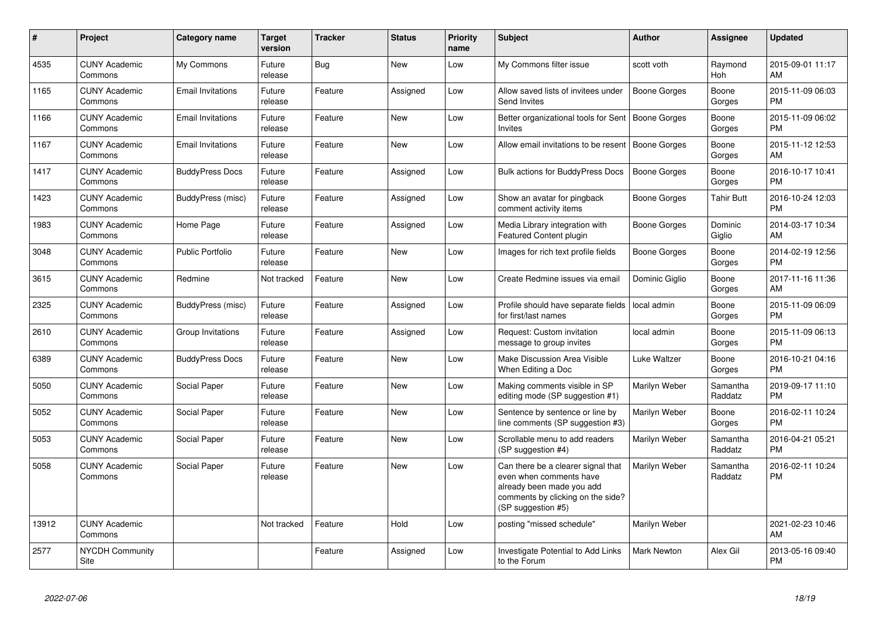| #     | Project                         | Category name            | <b>Target</b><br>version | <b>Tracker</b> | <b>Status</b> | <b>Priority</b><br>name | <b>Subject</b>                                                                                                                                        | <b>Author</b>       | Assignee            | <b>Updated</b>                |
|-------|---------------------------------|--------------------------|--------------------------|----------------|---------------|-------------------------|-------------------------------------------------------------------------------------------------------------------------------------------------------|---------------------|---------------------|-------------------------------|
| 4535  | <b>CUNY Academic</b><br>Commons | My Commons               | Future<br>release        | Bug            | <b>New</b>    | Low                     | My Commons filter issue                                                                                                                               | scott voth          | Raymond<br>Hoh      | 2015-09-01 11:17<br>AM        |
| 1165  | <b>CUNY Academic</b><br>Commons | <b>Email Invitations</b> | Future<br>release        | Feature        | Assigned      | Low                     | Allow saved lists of invitees under<br>Send Invites                                                                                                   | Boone Gorges        | Boone<br>Gorges     | 2015-11-09 06:03<br><b>PM</b> |
| 1166  | <b>CUNY Academic</b><br>Commons | <b>Email Invitations</b> | Future<br>release        | Feature        | <b>New</b>    | Low                     | Better organizational tools for Sent<br><b>Invites</b>                                                                                                | <b>Boone Gorges</b> | Boone<br>Gorges     | 2015-11-09 06:02<br><b>PM</b> |
| 1167  | <b>CUNY Academic</b><br>Commons | <b>Email Invitations</b> | Future<br>release        | Feature        | New           | Low                     | Allow email invitations to be resent                                                                                                                  | Boone Gorges        | Boone<br>Gorges     | 2015-11-12 12:53<br>AM        |
| 1417  | <b>CUNY Academic</b><br>Commons | <b>BuddyPress Docs</b>   | Future<br>release        | Feature        | Assigned      | Low                     | <b>Bulk actions for BuddyPress Docs</b>                                                                                                               | Boone Gorges        | Boone<br>Gorges     | 2016-10-17 10:41<br><b>PM</b> |
| 1423  | <b>CUNY Academic</b><br>Commons | BuddyPress (misc)        | Future<br>release        | Feature        | Assigned      | Low                     | Show an avatar for pingback<br>comment activity items                                                                                                 | Boone Gorges        | <b>Tahir Butt</b>   | 2016-10-24 12:03<br><b>PM</b> |
| 1983  | <b>CUNY Academic</b><br>Commons | Home Page                | Future<br>release        | Feature        | Assigned      | Low                     | Media Library integration with<br><b>Featured Content plugin</b>                                                                                      | Boone Gorges        | Dominic<br>Giglio   | 2014-03-17 10:34<br>AM        |
| 3048  | <b>CUNY Academic</b><br>Commons | <b>Public Portfolio</b>  | Future<br>release        | Feature        | <b>New</b>    | Low                     | Images for rich text profile fields                                                                                                                   | Boone Gorges        | Boone<br>Gorges     | 2014-02-19 12:56<br><b>PM</b> |
| 3615  | <b>CUNY Academic</b><br>Commons | Redmine                  | Not tracked              | Feature        | <b>New</b>    | Low                     | Create Redmine issues via email                                                                                                                       | Dominic Giglio      | Boone<br>Gorges     | 2017-11-16 11:36<br>AM        |
| 2325  | <b>CUNY Academic</b><br>Commons | BuddyPress (misc)        | Future<br>release        | Feature        | Assigned      | Low                     | Profile should have separate fields<br>for first/last names                                                                                           | local admin         | Boone<br>Gorges     | 2015-11-09 06:09<br><b>PM</b> |
| 2610  | <b>CUNY Academic</b><br>Commons | Group Invitations        | Future<br>release        | Feature        | Assigned      | Low                     | Request: Custom invitation<br>message to group invites                                                                                                | local admin         | Boone<br>Gorges     | 2015-11-09 06:13<br><b>PM</b> |
| 6389  | <b>CUNY Academic</b><br>Commons | <b>BuddyPress Docs</b>   | Future<br>release        | Feature        | New           | Low                     | Make Discussion Area Visible<br>When Editing a Doc                                                                                                    | Luke Waltzer        | Boone<br>Gorges     | 2016-10-21 04:16<br><b>PM</b> |
| 5050  | <b>CUNY Academic</b><br>Commons | Social Paper             | Future<br>release        | Feature        | New           | Low                     | Making comments visible in SP<br>editing mode (SP suggestion #1)                                                                                      | Marilyn Weber       | Samantha<br>Raddatz | 2019-09-17 11:10<br><b>PM</b> |
| 5052  | <b>CUNY Academic</b><br>Commons | Social Paper             | Future<br>release        | Feature        | New           | Low                     | Sentence by sentence or line by<br>line comments (SP suggestion #3)                                                                                   | Marilyn Weber       | Boone<br>Gorges     | 2016-02-11 10:24<br><b>PM</b> |
| 5053  | <b>CUNY Academic</b><br>Commons | Social Paper             | Future<br>release        | Feature        | <b>New</b>    | Low                     | Scrollable menu to add readers<br>(SP suggestion #4)                                                                                                  | Marilyn Weber       | Samantha<br>Raddatz | 2016-04-21 05:21<br><b>PM</b> |
| 5058  | <b>CUNY Academic</b><br>Commons | Social Paper             | Future<br>release        | Feature        | New           | Low                     | Can there be a clearer signal that<br>even when comments have<br>already been made you add<br>comments by clicking on the side?<br>(SP suggestion #5) | Marilyn Weber       | Samantha<br>Raddatz | 2016-02-11 10:24<br><b>PM</b> |
| 13912 | <b>CUNY Academic</b><br>Commons |                          | Not tracked              | Feature        | Hold          | Low                     | posting "missed schedule"                                                                                                                             | Marilyn Weber       |                     | 2021-02-23 10:46<br>AM        |
| 2577  | <b>NYCDH Community</b><br>Site  |                          |                          | Feature        | Assigned      | Low                     | Investigate Potential to Add Links<br>to the Forum                                                                                                    | <b>Mark Newton</b>  | Alex Gil            | 2013-05-16 09:40<br><b>PM</b> |